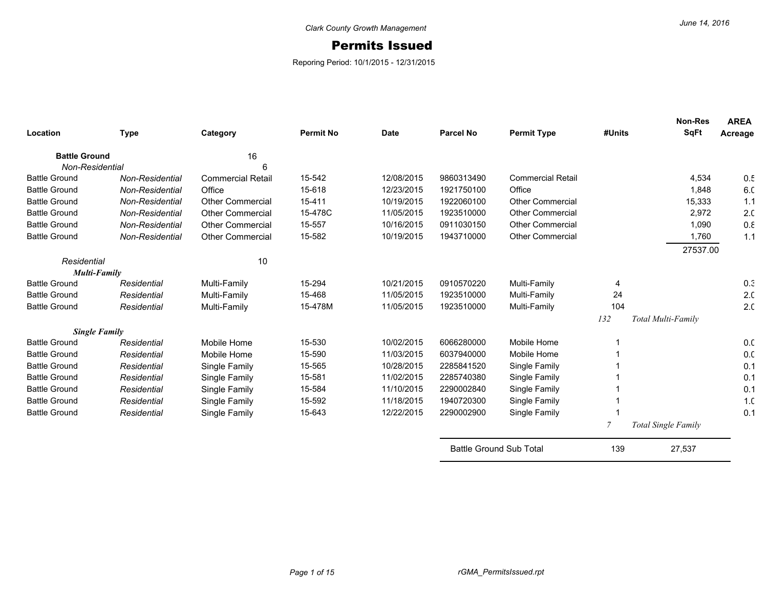## Permits Issued

Reporing Period: 10/1/2015 - 12/31/2015

| Location             | <b>Type</b>            | Category                 | <b>Permit No</b> | <b>Date</b> | <b>Parcel No</b>               | <b>Permit Type</b>       | #Units | <b>Non-Res</b><br><b>SqFt</b> | <b>AREA</b><br>Acreage |
|----------------------|------------------------|--------------------------|------------------|-------------|--------------------------------|--------------------------|--------|-------------------------------|------------------------|
| <b>Battle Ground</b> |                        | 16                       |                  |             |                                |                          |        |                               |                        |
| Non-Residential      |                        | 6                        |                  |             |                                |                          |        |                               |                        |
| <b>Battle Ground</b> | <b>Non-Residential</b> | <b>Commercial Retail</b> | 15-542           | 12/08/2015  | 9860313490                     | <b>Commercial Retail</b> |        | 4,534                         | 0.5                    |
| <b>Battle Ground</b> | Non-Residential        | Office                   | 15-618           | 12/23/2015  | 1921750100                     | Office                   |        | 1,848                         | 6.C                    |
| <b>Battle Ground</b> | <b>Non-Residential</b> | <b>Other Commercial</b>  | 15-411           | 10/19/2015  | 1922060100                     | <b>Other Commercial</b>  |        | 15,333                        | 1.1                    |
| <b>Battle Ground</b> | Non-Residential        | <b>Other Commercial</b>  | 15-478C          | 11/05/2015  | 1923510000                     | <b>Other Commercial</b>  |        | 2.972                         | 2.0                    |
| <b>Battle Ground</b> | Non-Residential        | <b>Other Commercial</b>  | 15-557           | 10/16/2015  | 0911030150                     | <b>Other Commercial</b>  |        | 1,090                         | 0.8                    |
| <b>Battle Ground</b> | Non-Residential        | <b>Other Commercial</b>  | 15-582           | 10/19/2015  | 1943710000                     | <b>Other Commercial</b>  |        | 1.760                         | 1.1                    |
|                      |                        |                          |                  |             |                                |                          |        | 27537.00                      |                        |
| Residential          |                        | 10                       |                  |             |                                |                          |        |                               |                        |
| <b>Multi-Family</b>  |                        |                          |                  |             |                                |                          |        |                               |                        |
| <b>Battle Ground</b> | Residential            | Multi-Family             | 15-294           | 10/21/2015  | 0910570220                     | Multi-Family             | 4      |                               | 0.3                    |
| <b>Battle Ground</b> | Residential            | Multi-Family             | 15-468           | 11/05/2015  | 1923510000                     | Multi-Family             | 24     |                               | 2.0                    |
| <b>Battle Ground</b> | Residential            | Multi-Family             | 15-478M          | 11/05/2015  | 1923510000                     | Multi-Family             | 104    |                               | 2.0                    |
|                      |                        |                          |                  |             |                                |                          | 132    | Total Multi-Family            |                        |
|                      | <b>Single Family</b>   |                          |                  |             |                                |                          |        |                               |                        |
| <b>Battle Ground</b> | Residential            | Mobile Home              | 15-530           | 10/02/2015  | 6066280000                     | Mobile Home              |        |                               | 0. <sub>C</sub>        |
| <b>Battle Ground</b> | Residential            | Mobile Home              | 15-590           | 11/03/2015  | 6037940000                     | Mobile Home              |        |                               | 0.0                    |
| <b>Battle Ground</b> | Residential            | Single Family            | 15-565           | 10/28/2015  | 2285841520                     | Single Family            |        |                               | 0.1                    |
| <b>Battle Ground</b> | Residential            | Single Family            | 15-581           | 11/02/2015  | 2285740380                     | Single Family            |        |                               | 0.1                    |
| <b>Battle Ground</b> | Residential            | Single Family            | 15-584           | 11/10/2015  | 2290002840                     | Single Family            |        |                               | 0.1                    |
| <b>Battle Ground</b> | Residential            | Single Family            | 15-592           | 11/18/2015  | 1940720300                     | Single Family            |        |                               | 1 <sub>c</sub>         |
| <b>Battle Ground</b> | Residential            | Single Family            | 15-643           | 12/22/2015  | 2290002900                     | Single Family            |        |                               | 0.1                    |
|                      |                        |                          |                  |             |                                |                          | 7      | <b>Total Single Family</b>    |                        |
|                      |                        |                          |                  |             | <b>Battle Ground Sub Total</b> |                          | 139    | 27,537                        |                        |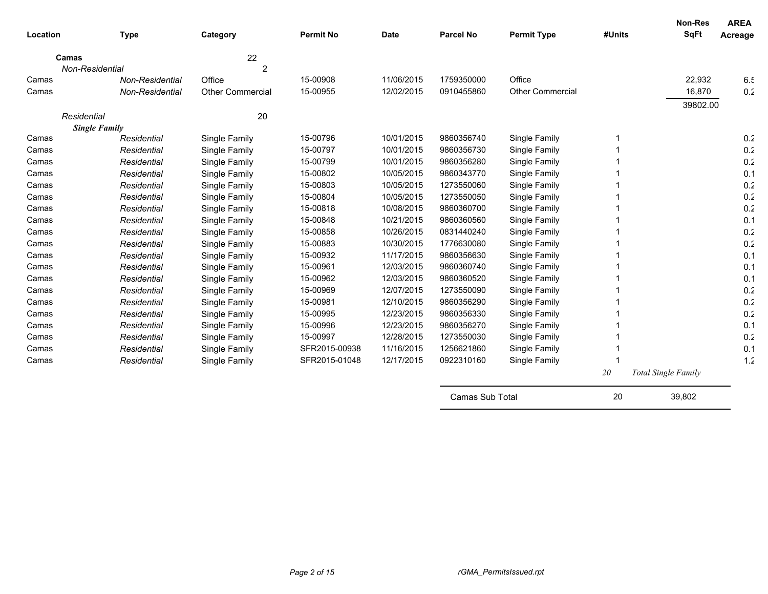| Location |                      | <b>Type</b>            | Category                | <b>Permit No</b> | <b>Date</b> | <b>Parcel No</b> | <b>Permit Type</b>      | #Units | <b>Non-Res</b><br><b>SqFt</b> | <b>AREA</b><br>Acreage |
|----------|----------------------|------------------------|-------------------------|------------------|-------------|------------------|-------------------------|--------|-------------------------------|------------------------|
|          | Camas                |                        | 22                      |                  |             |                  |                         |        |                               |                        |
|          | Non-Residential      |                        | 2                       |                  |             |                  |                         |        |                               |                        |
| Camas    |                      | <b>Non-Residential</b> | Office                  | 15-00908         | 11/06/2015  | 1759350000       | Office                  |        | 22,932                        | 6.5                    |
| Camas    |                      | Non-Residential        | <b>Other Commercial</b> | 15-00955         | 12/02/2015  | 0910455860       | <b>Other Commercial</b> |        | 16,870                        | 0.2                    |
|          |                      |                        |                         |                  |             |                  |                         |        | 39802.00                      |                        |
|          | Residential          |                        | 20                      |                  |             |                  |                         |        |                               |                        |
|          | <b>Single Family</b> |                        |                         |                  |             |                  |                         |        |                               |                        |
| Camas    |                      | Residential            | Single Family           | 15-00796         | 10/01/2015  | 9860356740       | Single Family           |        |                               | 0.2                    |
| Camas    |                      | Residential            | Single Family           | 15-00797         | 10/01/2015  | 9860356730       | Single Family           |        |                               | 0.2                    |
| Camas    |                      | Residential            | Single Family           | 15-00799         | 10/01/2015  | 9860356280       | Single Family           |        |                               | 0.2                    |
| Camas    |                      | Residential            | Single Family           | 15-00802         | 10/05/2015  | 9860343770       | Single Family           |        |                               | 0.1                    |
| Camas    |                      | Residential            | Single Family           | 15-00803         | 10/05/2015  | 1273550060       | Single Family           |        |                               | 0.2                    |
| Camas    |                      | Residential            | Single Family           | 15-00804         | 10/05/2015  | 1273550050       | Single Family           |        |                               | 0.2                    |
| Camas    |                      | Residential            | Single Family           | 15-00818         | 10/08/2015  | 9860360700       | Single Family           |        |                               | 0.2                    |
| Camas    |                      | Residential            | Single Family           | 15-00848         | 10/21/2015  | 9860360560       | Single Family           |        |                               | 0.1                    |
| Camas    |                      | Residential            | Single Family           | 15-00858         | 10/26/2015  | 0831440240       | Single Family           |        |                               | 0.2                    |
| Camas    |                      | Residential            | Single Family           | 15-00883         | 10/30/2015  | 1776630080       | Single Family           |        |                               | 0.2                    |
| Camas    |                      | Residential            | Single Family           | 15-00932         | 11/17/2015  | 9860356630       | Single Family           |        |                               | 0.1                    |
| Camas    |                      | Residential            | Single Family           | 15-00961         | 12/03/2015  | 9860360740       | Single Family           |        |                               | 0.1                    |
| Camas    |                      | Residential            | Single Family           | 15-00962         | 12/03/2015  | 9860360520       | Single Family           |        |                               | 0.1                    |
| Camas    |                      | Residential            | Single Family           | 15-00969         | 12/07/2015  | 1273550090       | Single Family           |        |                               | 0.2                    |
| Camas    |                      | Residential            | Single Family           | 15-00981         | 12/10/2015  | 9860356290       | Single Family           |        |                               | 0.2                    |
| Camas    |                      | Residential            | Single Family           | 15-00995         | 12/23/2015  | 9860356330       | Single Family           |        |                               | 0.2                    |
| Camas    |                      | Residential            | Single Family           | 15-00996         | 12/23/2015  | 9860356270       | Single Family           |        |                               | 0.1                    |
| Camas    |                      | Residential            | Single Family           | 15-00997         | 12/28/2015  | 1273550030       | Single Family           |        |                               | 0.2                    |
| Camas    |                      | Residential            | Single Family           | SFR2015-00938    | 11/16/2015  | 1256621860       | Single Family           |        |                               | 0.1                    |
| Camas    |                      | Residential            | Single Family           | SFR2015-01048    | 12/17/2015  | 0922310160       | Single Family           |        |                               | 1.2                    |
|          |                      |                        |                         |                  |             |                  |                         | 20     | Total Single Family           |                        |

| Camas Sub Total | 20 | 39,802 |  |
|-----------------|----|--------|--|
|-----------------|----|--------|--|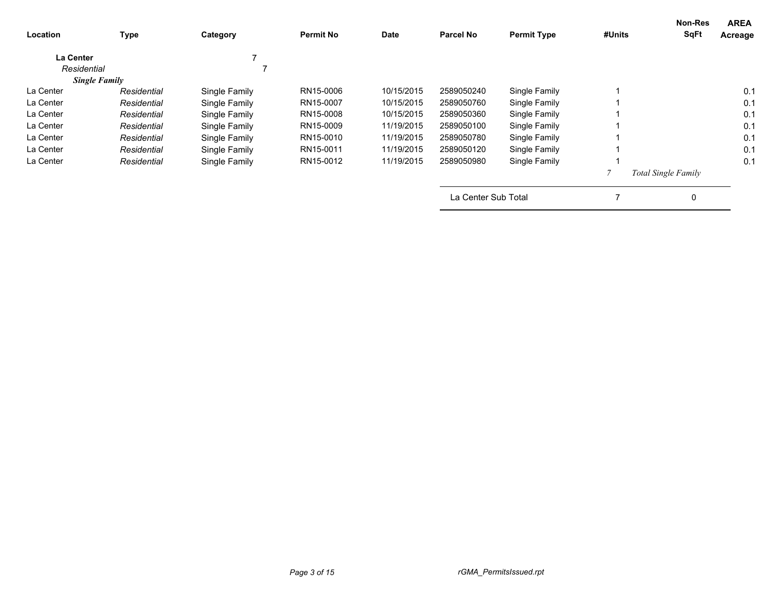| <b>Location</b> | Type                 | Category      | <b>Permit No</b> | <b>Date</b> | <b>Parcel No</b>    | <b>Permit Type</b> | #Units | <b>Non-Res</b><br><b>SqFt</b> | <b>AREA</b><br>Acreage |
|-----------------|----------------------|---------------|------------------|-------------|---------------------|--------------------|--------|-------------------------------|------------------------|
| La Center       |                      |               |                  |             |                     |                    |        |                               |                        |
| Residential     |                      |               |                  |             |                     |                    |        |                               |                        |
|                 | <b>Single Family</b> |               |                  |             |                     |                    |        |                               |                        |
| La Center       | Residential          | Single Family | RN15-0006        | 10/15/2015  | 2589050240          | Single Family      |        |                               | 0.1                    |
| La Center       | Residential          | Single Family | RN15-0007        | 10/15/2015  | 2589050760          | Single Family      |        |                               | 0.1                    |
| La Center       | Residential          | Single Family | RN15-0008        | 10/15/2015  | 2589050360          | Single Family      |        |                               | 0.1                    |
| La Center       | Residential          | Single Family | RN15-0009        | 11/19/2015  | 2589050100          | Single Family      |        |                               | 0.1                    |
| La Center       | Residential          | Single Family | RN15-0010        | 11/19/2015  | 2589050780          | Single Family      |        |                               | 0.1                    |
| La Center       | Residential          | Single Family | RN15-0011        | 11/19/2015  | 2589050120          | Single Family      |        |                               | 0.1                    |
| La Center       | Residential          | Single Family | RN15-0012        | 11/19/2015  | 2589050980          | Single Family      |        |                               | 0.1                    |
|                 |                      |               |                  |             |                     |                    |        | <b>Total Single Family</b>    |                        |
|                 |                      |               |                  |             | La Center Sub Total |                    |        | 0                             |                        |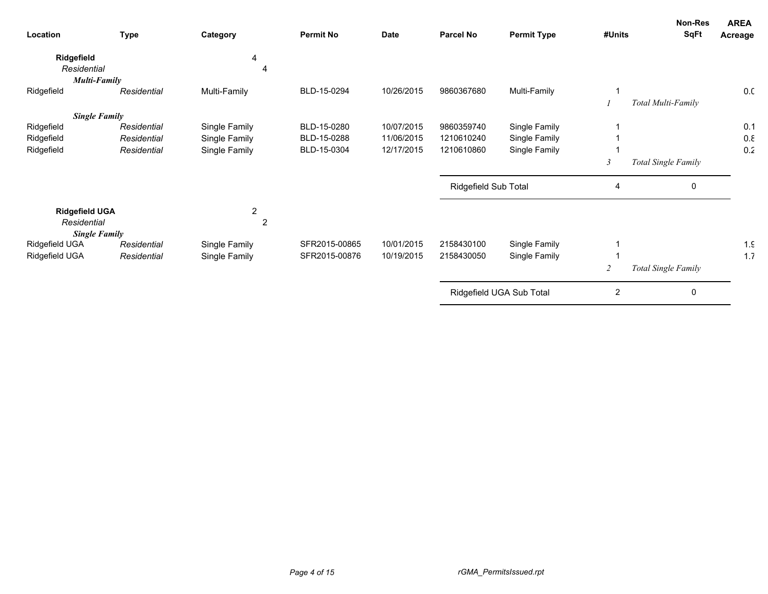| Location                                         | <b>Type</b> | Category            | <b>Permit No</b> | <b>Date</b> | <b>Parcel No</b>     | <b>Permit Type</b>       | #Units         | <b>Non-Res</b><br><b>SqFt</b> | <b>AREA</b><br>Acreage |
|--------------------------------------------------|-------------|---------------------|------------------|-------------|----------------------|--------------------------|----------------|-------------------------------|------------------------|
| Ridgefield<br>Residential<br><b>Multi-Family</b> |             | 4<br>4              |                  |             |                      |                          |                |                               |                        |
| Ridgefield                                       | Residential | Multi-Family        | BLD-15-0294      | 10/26/2015  | 9860367680           | Multi-Family             |                |                               | 0.0                    |
|                                                  |             |                     |                  |             |                      |                          |                | Total Multi-Family            |                        |
| <b>Single Family</b>                             |             |                     |                  |             |                      |                          |                |                               |                        |
| Ridgefield                                       | Residential | Single Family       | BLD-15-0280      | 10/07/2015  | 9860359740           | Single Family            |                |                               | 0.1                    |
| Ridgefield                                       | Residential | Single Family       | BLD-15-0288      | 11/06/2015  | 1210610240           | Single Family            |                |                               | 0.8                    |
| Ridgefield                                       | Residential | Single Family       | BLD-15-0304      | 12/17/2015  | 1210610860           | Single Family            |                |                               | 0.2                    |
|                                                  |             |                     |                  |             |                      |                          | $\mathfrak{Z}$ | Total Single Family           |                        |
|                                                  |             |                     |                  |             | Ridgefield Sub Total |                          | 4              | 0                             |                        |
| <b>Ridgefield UGA</b><br>Residential             |             | 2<br>$\overline{2}$ |                  |             |                      |                          |                |                               |                        |
| <b>Single Family</b>                             |             |                     |                  |             |                      |                          |                |                               |                        |
| Ridgefield UGA                                   | Residential | Single Family       | SFR2015-00865    | 10/01/2015  | 2158430100           | Single Family            |                |                               | $1.\mathsf{C}$         |
| Ridgefield UGA                                   | Residential | Single Family       | SFR2015-00876    | 10/19/2015  | 2158430050           | Single Family            |                |                               | 1.7                    |
|                                                  |             |                     |                  |             |                      |                          | 2              | Total Single Family           |                        |
|                                                  |             |                     |                  |             |                      | Ridgefield UGA Sub Total | $\overline{2}$ | 0                             |                        |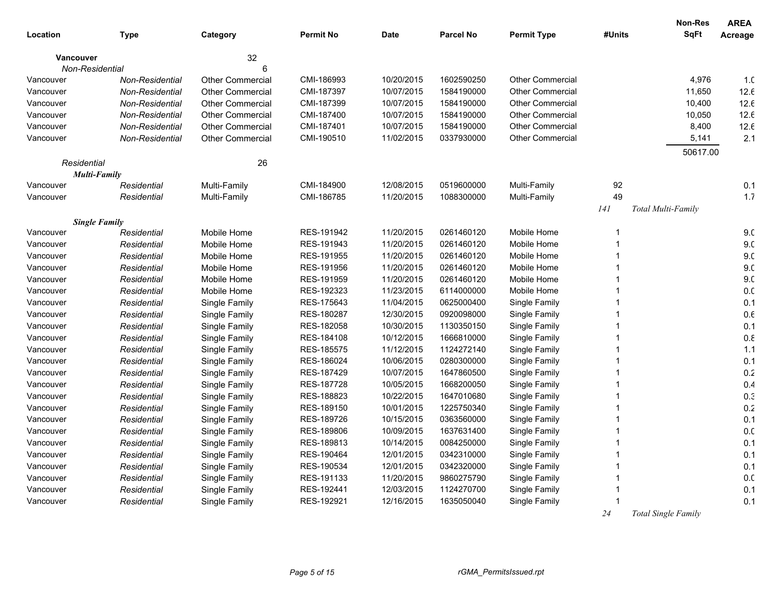| SqFt<br><b>Parcel No</b><br><b>Permit Type</b><br>#Units<br>Location<br><b>Type</b><br>Category<br><b>Permit No</b><br><b>Date</b><br>Acreage<br>32<br><b>Vancouver</b><br>Non-Residential<br>6<br><b>Other Commercial</b><br>Other Commercial<br>CMI-186993<br>10/20/2015<br>1602590250<br>4,976<br>1 <sub>c</sub><br>Vancouver<br><b>Non-Residential</b><br>CMI-187397<br>10/07/2015<br>1584190000<br><b>Other Commercial</b><br>11,650<br>12.6<br>Vancouver<br><b>Non-Residential</b><br><b>Other Commercial</b><br>12.6<br><b>Other Commercial</b><br>CMI-187399<br>10/07/2015<br>1584190000<br><b>Other Commercial</b><br>10,400<br>Vancouver<br><b>Non-Residential</b><br>12.6<br><b>Other Commercial</b><br>CMI-187400<br>10/07/2015<br>1584190000<br><b>Other Commercial</b><br>10,050<br>Vancouver<br>Non-Residential<br>12.6<br>Non-Residential<br><b>Other Commercial</b><br>CMI-187401<br>10/07/2015<br>1584190000<br><b>Other Commercial</b><br>8,400<br>Vancouver<br>2.1<br><b>Non-Residential</b><br><b>Other Commercial</b><br>CMI-190510<br>11/02/2015<br>0337930000<br><b>Other Commercial</b><br>5,141<br>Vancouver<br>50617.00<br>26<br>Residential<br><b>Multi-Family</b><br>CMI-184900<br>12/08/2015<br>0519600000<br>Multi-Family<br>92<br>0.1<br>Vancouver<br>Residential<br>Multi-Family<br>49<br>1.7<br>CMI-186785<br>11/20/2015<br>1088300000<br>Multi-Family<br>Residential<br>Multi-Family<br>Vancouver<br>Total Multi-Family<br>141<br><b>Single Family</b><br>RES-191942<br>11/20/2015<br>0261460120<br>Mobile Home<br>9 <sub>c</sub><br>Vancouver<br>Residential<br>Mobile Home<br>9 <sub>c</sub><br>RES-191943<br>11/20/2015<br>Residential<br>Mobile Home<br>0261460120<br>Mobile Home<br>Vancouver<br>1<br>9 <sub>c</sub><br>RES-191955<br>11/20/2015<br>0261460120<br>Vancouver<br>Residential<br>Mobile Home<br>Mobile Home<br>9 <sub>c</sub><br>RES-191956<br>11/20/2015<br>0261460120<br>Vancouver<br>Residential<br>Mobile Home<br>Mobile Home<br>RES-191959<br>9 <sub>c</sub><br>11/20/2015<br>0261460120<br>Residential<br>Mobile Home<br>Mobile Home<br>Vancouver<br>RES-192323<br>0. <sub>C</sub><br>11/23/2015<br>6114000000<br>Mobile Home<br>Vancouver<br>Residential<br>Mobile Home<br>1<br>0.1<br>Residential<br>RES-175643<br>11/04/2015<br>0625000400<br>Single Family<br>Vancouver<br>Single Family<br>RES-180287<br>12/30/2015<br>0920098000<br>$0.6\,$<br>Vancouver<br>Residential<br>Single Family<br>Single Family<br>RES-182058<br>10/30/2015<br>0.1<br>Residential<br>Single Family<br>1130350150<br>Single Family<br>Vancouver<br>$0.8\,$<br>RES-184108<br>10/12/2015<br>Residential<br>Single Family<br>1666810000<br>Single Family<br>Vancouver |
|--------------------------------------------------------------------------------------------------------------------------------------------------------------------------------------------------------------------------------------------------------------------------------------------------------------------------------------------------------------------------------------------------------------------------------------------------------------------------------------------------------------------------------------------------------------------------------------------------------------------------------------------------------------------------------------------------------------------------------------------------------------------------------------------------------------------------------------------------------------------------------------------------------------------------------------------------------------------------------------------------------------------------------------------------------------------------------------------------------------------------------------------------------------------------------------------------------------------------------------------------------------------------------------------------------------------------------------------------------------------------------------------------------------------------------------------------------------------------------------------------------------------------------------------------------------------------------------------------------------------------------------------------------------------------------------------------------------------------------------------------------------------------------------------------------------------------------------------------------------------------------------------------------------------------------------------------------------------------------------------------------------------------------------------------------------------------------------------------------------------------------------------------------------------------------------------------------------------------------------------------------------------------------------------------------------------------------------------------------------------------------------------------------------------------------------------------------------------------------------------------------------------------------------------------------------------------------------------------------------------------------------------------------------------------------------------------------------|
|                                                                                                                                                                                                                                                                                                                                                                                                                                                                                                                                                                                                                                                                                                                                                                                                                                                                                                                                                                                                                                                                                                                                                                                                                                                                                                                                                                                                                                                                                                                                                                                                                                                                                                                                                                                                                                                                                                                                                                                                                                                                                                                                                                                                                                                                                                                                                                                                                                                                                                                                                                                                                                                                                                              |
|                                                                                                                                                                                                                                                                                                                                                                                                                                                                                                                                                                                                                                                                                                                                                                                                                                                                                                                                                                                                                                                                                                                                                                                                                                                                                                                                                                                                                                                                                                                                                                                                                                                                                                                                                                                                                                                                                                                                                                                                                                                                                                                                                                                                                                                                                                                                                                                                                                                                                                                                                                                                                                                                                                              |
|                                                                                                                                                                                                                                                                                                                                                                                                                                                                                                                                                                                                                                                                                                                                                                                                                                                                                                                                                                                                                                                                                                                                                                                                                                                                                                                                                                                                                                                                                                                                                                                                                                                                                                                                                                                                                                                                                                                                                                                                                                                                                                                                                                                                                                                                                                                                                                                                                                                                                                                                                                                                                                                                                                              |
|                                                                                                                                                                                                                                                                                                                                                                                                                                                                                                                                                                                                                                                                                                                                                                                                                                                                                                                                                                                                                                                                                                                                                                                                                                                                                                                                                                                                                                                                                                                                                                                                                                                                                                                                                                                                                                                                                                                                                                                                                                                                                                                                                                                                                                                                                                                                                                                                                                                                                                                                                                                                                                                                                                              |
|                                                                                                                                                                                                                                                                                                                                                                                                                                                                                                                                                                                                                                                                                                                                                                                                                                                                                                                                                                                                                                                                                                                                                                                                                                                                                                                                                                                                                                                                                                                                                                                                                                                                                                                                                                                                                                                                                                                                                                                                                                                                                                                                                                                                                                                                                                                                                                                                                                                                                                                                                                                                                                                                                                              |
|                                                                                                                                                                                                                                                                                                                                                                                                                                                                                                                                                                                                                                                                                                                                                                                                                                                                                                                                                                                                                                                                                                                                                                                                                                                                                                                                                                                                                                                                                                                                                                                                                                                                                                                                                                                                                                                                                                                                                                                                                                                                                                                                                                                                                                                                                                                                                                                                                                                                                                                                                                                                                                                                                                              |
|                                                                                                                                                                                                                                                                                                                                                                                                                                                                                                                                                                                                                                                                                                                                                                                                                                                                                                                                                                                                                                                                                                                                                                                                                                                                                                                                                                                                                                                                                                                                                                                                                                                                                                                                                                                                                                                                                                                                                                                                                                                                                                                                                                                                                                                                                                                                                                                                                                                                                                                                                                                                                                                                                                              |
|                                                                                                                                                                                                                                                                                                                                                                                                                                                                                                                                                                                                                                                                                                                                                                                                                                                                                                                                                                                                                                                                                                                                                                                                                                                                                                                                                                                                                                                                                                                                                                                                                                                                                                                                                                                                                                                                                                                                                                                                                                                                                                                                                                                                                                                                                                                                                                                                                                                                                                                                                                                                                                                                                                              |
|                                                                                                                                                                                                                                                                                                                                                                                                                                                                                                                                                                                                                                                                                                                                                                                                                                                                                                                                                                                                                                                                                                                                                                                                                                                                                                                                                                                                                                                                                                                                                                                                                                                                                                                                                                                                                                                                                                                                                                                                                                                                                                                                                                                                                                                                                                                                                                                                                                                                                                                                                                                                                                                                                                              |
|                                                                                                                                                                                                                                                                                                                                                                                                                                                                                                                                                                                                                                                                                                                                                                                                                                                                                                                                                                                                                                                                                                                                                                                                                                                                                                                                                                                                                                                                                                                                                                                                                                                                                                                                                                                                                                                                                                                                                                                                                                                                                                                                                                                                                                                                                                                                                                                                                                                                                                                                                                                                                                                                                                              |
|                                                                                                                                                                                                                                                                                                                                                                                                                                                                                                                                                                                                                                                                                                                                                                                                                                                                                                                                                                                                                                                                                                                                                                                                                                                                                                                                                                                                                                                                                                                                                                                                                                                                                                                                                                                                                                                                                                                                                                                                                                                                                                                                                                                                                                                                                                                                                                                                                                                                                                                                                                                                                                                                                                              |
|                                                                                                                                                                                                                                                                                                                                                                                                                                                                                                                                                                                                                                                                                                                                                                                                                                                                                                                                                                                                                                                                                                                                                                                                                                                                                                                                                                                                                                                                                                                                                                                                                                                                                                                                                                                                                                                                                                                                                                                                                                                                                                                                                                                                                                                                                                                                                                                                                                                                                                                                                                                                                                                                                                              |
|                                                                                                                                                                                                                                                                                                                                                                                                                                                                                                                                                                                                                                                                                                                                                                                                                                                                                                                                                                                                                                                                                                                                                                                                                                                                                                                                                                                                                                                                                                                                                                                                                                                                                                                                                                                                                                                                                                                                                                                                                                                                                                                                                                                                                                                                                                                                                                                                                                                                                                                                                                                                                                                                                                              |
|                                                                                                                                                                                                                                                                                                                                                                                                                                                                                                                                                                                                                                                                                                                                                                                                                                                                                                                                                                                                                                                                                                                                                                                                                                                                                                                                                                                                                                                                                                                                                                                                                                                                                                                                                                                                                                                                                                                                                                                                                                                                                                                                                                                                                                                                                                                                                                                                                                                                                                                                                                                                                                                                                                              |
|                                                                                                                                                                                                                                                                                                                                                                                                                                                                                                                                                                                                                                                                                                                                                                                                                                                                                                                                                                                                                                                                                                                                                                                                                                                                                                                                                                                                                                                                                                                                                                                                                                                                                                                                                                                                                                                                                                                                                                                                                                                                                                                                                                                                                                                                                                                                                                                                                                                                                                                                                                                                                                                                                                              |
|                                                                                                                                                                                                                                                                                                                                                                                                                                                                                                                                                                                                                                                                                                                                                                                                                                                                                                                                                                                                                                                                                                                                                                                                                                                                                                                                                                                                                                                                                                                                                                                                                                                                                                                                                                                                                                                                                                                                                                                                                                                                                                                                                                                                                                                                                                                                                                                                                                                                                                                                                                                                                                                                                                              |
|                                                                                                                                                                                                                                                                                                                                                                                                                                                                                                                                                                                                                                                                                                                                                                                                                                                                                                                                                                                                                                                                                                                                                                                                                                                                                                                                                                                                                                                                                                                                                                                                                                                                                                                                                                                                                                                                                                                                                                                                                                                                                                                                                                                                                                                                                                                                                                                                                                                                                                                                                                                                                                                                                                              |
|                                                                                                                                                                                                                                                                                                                                                                                                                                                                                                                                                                                                                                                                                                                                                                                                                                                                                                                                                                                                                                                                                                                                                                                                                                                                                                                                                                                                                                                                                                                                                                                                                                                                                                                                                                                                                                                                                                                                                                                                                                                                                                                                                                                                                                                                                                                                                                                                                                                                                                                                                                                                                                                                                                              |
|                                                                                                                                                                                                                                                                                                                                                                                                                                                                                                                                                                                                                                                                                                                                                                                                                                                                                                                                                                                                                                                                                                                                                                                                                                                                                                                                                                                                                                                                                                                                                                                                                                                                                                                                                                                                                                                                                                                                                                                                                                                                                                                                                                                                                                                                                                                                                                                                                                                                                                                                                                                                                                                                                                              |
|                                                                                                                                                                                                                                                                                                                                                                                                                                                                                                                                                                                                                                                                                                                                                                                                                                                                                                                                                                                                                                                                                                                                                                                                                                                                                                                                                                                                                                                                                                                                                                                                                                                                                                                                                                                                                                                                                                                                                                                                                                                                                                                                                                                                                                                                                                                                                                                                                                                                                                                                                                                                                                                                                                              |
|                                                                                                                                                                                                                                                                                                                                                                                                                                                                                                                                                                                                                                                                                                                                                                                                                                                                                                                                                                                                                                                                                                                                                                                                                                                                                                                                                                                                                                                                                                                                                                                                                                                                                                                                                                                                                                                                                                                                                                                                                                                                                                                                                                                                                                                                                                                                                                                                                                                                                                                                                                                                                                                                                                              |
|                                                                                                                                                                                                                                                                                                                                                                                                                                                                                                                                                                                                                                                                                                                                                                                                                                                                                                                                                                                                                                                                                                                                                                                                                                                                                                                                                                                                                                                                                                                                                                                                                                                                                                                                                                                                                                                                                                                                                                                                                                                                                                                                                                                                                                                                                                                                                                                                                                                                                                                                                                                                                                                                                                              |
|                                                                                                                                                                                                                                                                                                                                                                                                                                                                                                                                                                                                                                                                                                                                                                                                                                                                                                                                                                                                                                                                                                                                                                                                                                                                                                                                                                                                                                                                                                                                                                                                                                                                                                                                                                                                                                                                                                                                                                                                                                                                                                                                                                                                                                                                                                                                                                                                                                                                                                                                                                                                                                                                                                              |
|                                                                                                                                                                                                                                                                                                                                                                                                                                                                                                                                                                                                                                                                                                                                                                                                                                                                                                                                                                                                                                                                                                                                                                                                                                                                                                                                                                                                                                                                                                                                                                                                                                                                                                                                                                                                                                                                                                                                                                                                                                                                                                                                                                                                                                                                                                                                                                                                                                                                                                                                                                                                                                                                                                              |
|                                                                                                                                                                                                                                                                                                                                                                                                                                                                                                                                                                                                                                                                                                                                                                                                                                                                                                                                                                                                                                                                                                                                                                                                                                                                                                                                                                                                                                                                                                                                                                                                                                                                                                                                                                                                                                                                                                                                                                                                                                                                                                                                                                                                                                                                                                                                                                                                                                                                                                                                                                                                                                                                                                              |
| RES-185575<br>11/12/2015<br>1124272140<br>1.1<br>Residential<br>Single Family<br>Single Family<br>Vancouver                                                                                                                                                                                                                                                                                                                                                                                                                                                                                                                                                                                                                                                                                                                                                                                                                                                                                                                                                                                                                                                                                                                                                                                                                                                                                                                                                                                                                                                                                                                                                                                                                                                                                                                                                                                                                                                                                                                                                                                                                                                                                                                                                                                                                                                                                                                                                                                                                                                                                                                                                                                                  |
| RES-186024<br>0.1<br>Residential<br>Single Family<br>10/06/2015<br>0280300000<br>Single Family<br>Vancouver                                                                                                                                                                                                                                                                                                                                                                                                                                                                                                                                                                                                                                                                                                                                                                                                                                                                                                                                                                                                                                                                                                                                                                                                                                                                                                                                                                                                                                                                                                                                                                                                                                                                                                                                                                                                                                                                                                                                                                                                                                                                                                                                                                                                                                                                                                                                                                                                                                                                                                                                                                                                  |
| 0.2<br>RES-187429<br>10/07/2015<br>1647860500<br>Residential<br>Single Family<br>Single Family<br>Vancouver                                                                                                                                                                                                                                                                                                                                                                                                                                                                                                                                                                                                                                                                                                                                                                                                                                                                                                                                                                                                                                                                                                                                                                                                                                                                                                                                                                                                                                                                                                                                                                                                                                                                                                                                                                                                                                                                                                                                                                                                                                                                                                                                                                                                                                                                                                                                                                                                                                                                                                                                                                                                  |
| 0.4<br>RES-187728<br>10/05/2015<br>Vancouver<br>Residential<br>Single Family<br>1668200050<br>Single Family                                                                                                                                                                                                                                                                                                                                                                                                                                                                                                                                                                                                                                                                                                                                                                                                                                                                                                                                                                                                                                                                                                                                                                                                                                                                                                                                                                                                                                                                                                                                                                                                                                                                                                                                                                                                                                                                                                                                                                                                                                                                                                                                                                                                                                                                                                                                                                                                                                                                                                                                                                                                  |
| 0.3<br>RES-188823<br>10/22/2015<br>1647010680<br>Single Family<br>Vancouver<br>Residential<br>Single Family                                                                                                                                                                                                                                                                                                                                                                                                                                                                                                                                                                                                                                                                                                                                                                                                                                                                                                                                                                                                                                                                                                                                                                                                                                                                                                                                                                                                                                                                                                                                                                                                                                                                                                                                                                                                                                                                                                                                                                                                                                                                                                                                                                                                                                                                                                                                                                                                                                                                                                                                                                                                  |
| 0.2<br>RES-189150<br>10/01/2015<br>1225750340<br>Residential<br>Single Family<br>Single Family<br>Vancouver                                                                                                                                                                                                                                                                                                                                                                                                                                                                                                                                                                                                                                                                                                                                                                                                                                                                                                                                                                                                                                                                                                                                                                                                                                                                                                                                                                                                                                                                                                                                                                                                                                                                                                                                                                                                                                                                                                                                                                                                                                                                                                                                                                                                                                                                                                                                                                                                                                                                                                                                                                                                  |
| RES-189726<br>0.1<br>Residential<br>Single Family<br>10/15/2015<br>0363560000<br>Single Family<br>Vancouver                                                                                                                                                                                                                                                                                                                                                                                                                                                                                                                                                                                                                                                                                                                                                                                                                                                                                                                                                                                                                                                                                                                                                                                                                                                                                                                                                                                                                                                                                                                                                                                                                                                                                                                                                                                                                                                                                                                                                                                                                                                                                                                                                                                                                                                                                                                                                                                                                                                                                                                                                                                                  |
| RES-189806<br>0. <sub>C</sub><br>Residential<br>Single Family<br>10/09/2015<br>1637631400<br>Single Family<br>Vancouver                                                                                                                                                                                                                                                                                                                                                                                                                                                                                                                                                                                                                                                                                                                                                                                                                                                                                                                                                                                                                                                                                                                                                                                                                                                                                                                                                                                                                                                                                                                                                                                                                                                                                                                                                                                                                                                                                                                                                                                                                                                                                                                                                                                                                                                                                                                                                                                                                                                                                                                                                                                      |
| RES-189813<br>0084250000<br>0.1<br>Residential<br>Single Family<br>10/14/2015<br>Single Family<br>Vancouver                                                                                                                                                                                                                                                                                                                                                                                                                                                                                                                                                                                                                                                                                                                                                                                                                                                                                                                                                                                                                                                                                                                                                                                                                                                                                                                                                                                                                                                                                                                                                                                                                                                                                                                                                                                                                                                                                                                                                                                                                                                                                                                                                                                                                                                                                                                                                                                                                                                                                                                                                                                                  |
| RES-190464<br>0.1<br>Residential<br>12/01/2015<br>0342310000<br>Single Family<br>Vancouver<br>Single Family                                                                                                                                                                                                                                                                                                                                                                                                                                                                                                                                                                                                                                                                                                                                                                                                                                                                                                                                                                                                                                                                                                                                                                                                                                                                                                                                                                                                                                                                                                                                                                                                                                                                                                                                                                                                                                                                                                                                                                                                                                                                                                                                                                                                                                                                                                                                                                                                                                                                                                                                                                                                  |
| RES-190534<br>12/01/2015<br>0342320000<br>0.1<br>Residential<br>Single Family<br>Single Family<br>Vancouver                                                                                                                                                                                                                                                                                                                                                                                                                                                                                                                                                                                                                                                                                                                                                                                                                                                                                                                                                                                                                                                                                                                                                                                                                                                                                                                                                                                                                                                                                                                                                                                                                                                                                                                                                                                                                                                                                                                                                                                                                                                                                                                                                                                                                                                                                                                                                                                                                                                                                                                                                                                                  |
| RES-191133<br>11/20/2015<br>0.0<br>Residential<br>Single Family<br>9860275790<br>Single Family<br>Vancouver                                                                                                                                                                                                                                                                                                                                                                                                                                                                                                                                                                                                                                                                                                                                                                                                                                                                                                                                                                                                                                                                                                                                                                                                                                                                                                                                                                                                                                                                                                                                                                                                                                                                                                                                                                                                                                                                                                                                                                                                                                                                                                                                                                                                                                                                                                                                                                                                                                                                                                                                                                                                  |
| RES-192441<br>12/03/2015<br>1124270700<br>Single Family<br>0.1<br>Vancouver<br>Residential<br>Single Family                                                                                                                                                                                                                                                                                                                                                                                                                                                                                                                                                                                                                                                                                                                                                                                                                                                                                                                                                                                                                                                                                                                                                                                                                                                                                                                                                                                                                                                                                                                                                                                                                                                                                                                                                                                                                                                                                                                                                                                                                                                                                                                                                                                                                                                                                                                                                                                                                                                                                                                                                                                                  |
| 0.1<br>RES-192921<br>12/16/2015<br>1635050040<br>Vancouver<br>Residential<br>Single Family<br>Single Family                                                                                                                                                                                                                                                                                                                                                                                                                                                                                                                                                                                                                                                                                                                                                                                                                                                                                                                                                                                                                                                                                                                                                                                                                                                                                                                                                                                                                                                                                                                                                                                                                                                                                                                                                                                                                                                                                                                                                                                                                                                                                                                                                                                                                                                                                                                                                                                                                                                                                                                                                                                                  |
| 24<br>Total Single Family                                                                                                                                                                                                                                                                                                                                                                                                                                                                                                                                                                                                                                                                                                                                                                                                                                                                                                                                                                                                                                                                                                                                                                                                                                                                                                                                                                                                                                                                                                                                                                                                                                                                                                                                                                                                                                                                                                                                                                                                                                                                                                                                                                                                                                                                                                                                                                                                                                                                                                                                                                                                                                                                                    |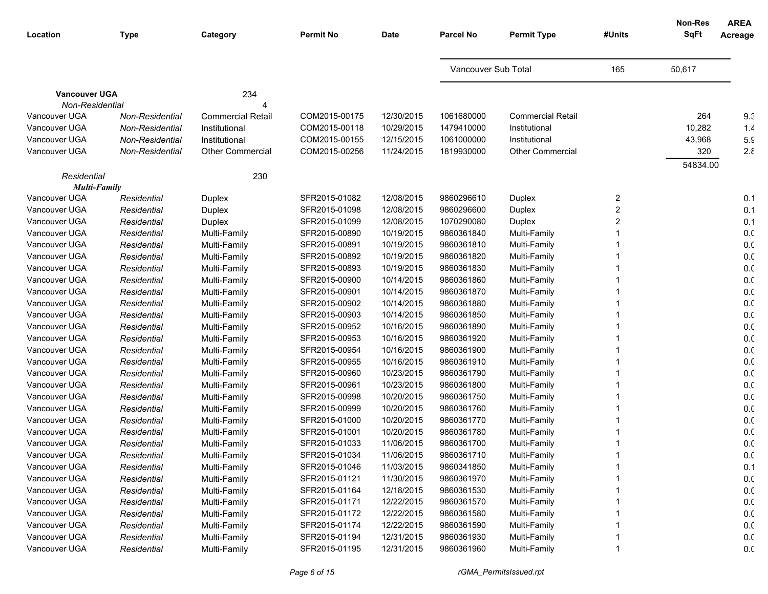| Location             | <b>Type</b>     | Category                 | <b>Permit No</b> | <b>Date</b> | <b>Parcel No</b>    | <b>Permit Type</b>       | #Units | <b>Non-Res</b><br><b>SqFt</b> | <b>AREA</b><br>Acreage |
|----------------------|-----------------|--------------------------|------------------|-------------|---------------------|--------------------------|--------|-------------------------------|------------------------|
|                      |                 |                          |                  |             |                     |                          |        |                               |                        |
|                      |                 |                          |                  |             | Vancouver Sub Total |                          | 165    | 50,617                        |                        |
| <b>Vancouver UGA</b> |                 | 234                      |                  |             |                     |                          |        |                               |                        |
| Non-Residential      |                 |                          |                  |             |                     |                          |        |                               |                        |
| Vancouver UGA        | Non-Residential | <b>Commercial Retail</b> | COM2015-00175    | 12/30/2015  | 1061680000          | <b>Commercial Retail</b> |        | 264                           | 9.3                    |
| Vancouver UGA        | Non-Residential | Institutional            | COM2015-00118    | 10/29/2015  | 1479410000          | Institutional            |        | 10,282                        | 1.4                    |
| Vancouver UGA        | Non-Residential | Institutional            | COM2015-00155    | 12/15/2015  | 1061000000          | Institutional            |        | 43,968                        | 5.9                    |
| Vancouver UGA        | Non-Residential | <b>Other Commercial</b>  | COM2015-00256    | 11/24/2015  | 1819930000          | <b>Other Commercial</b>  |        | 320                           | $2.\epsilon$           |
|                      |                 |                          |                  |             |                     |                          |        | 54834.00                      |                        |
| Residential          |                 | 230                      |                  |             |                     |                          |        |                               |                        |
| <b>Multi-Family</b>  |                 |                          |                  |             |                     |                          |        |                               |                        |
| Vancouver UGA        | Residential     | Duplex                   | SFR2015-01082    | 12/08/2015  | 9860296610          | Duplex                   | 2      |                               | 0.1                    |
| Vancouver UGA        | Residential     | Duplex                   | SFR2015-01098    | 12/08/2015  | 9860296600          | Duplex                   | 2      |                               | 0.1                    |
| Vancouver UGA        | Residential     | Duplex                   | SFR2015-01099    | 12/08/2015  | 1070290080          | Duplex                   | 2      |                               | 0.1                    |
| Vancouver UGA        | Residential     | Multi-Family             | SFR2015-00890    | 10/19/2015  | 9860361840          | Multi-Family             |        |                               | 0.0                    |
| Vancouver UGA        | Residential     | Multi-Family             | SFR2015-00891    | 10/19/2015  | 9860361810          | Multi-Family             |        |                               | 0.0                    |
| Vancouver UGA        | Residential     | Multi-Family             | SFR2015-00892    | 10/19/2015  | 9860361820          | Multi-Family             |        |                               | 0.0                    |
| Vancouver UGA        | Residential     | Multi-Family             | SFR2015-00893    | 10/19/2015  | 9860361830          | Multi-Family             |        |                               | 0.0                    |
| Vancouver UGA        | Residential     | Multi-Family             | SFR2015-00900    | 10/14/2015  | 9860361860          | Multi-Family             |        |                               | 0.0                    |
| Vancouver UGA        | Residential     | Multi-Family             | SFR2015-00901    | 10/14/2015  | 9860361870          | Multi-Family             |        |                               | 0.0                    |
| Vancouver UGA        | Residential     | Multi-Family             | SFR2015-00902    | 10/14/2015  | 9860361880          | Multi-Family             |        |                               | 0.0                    |
| Vancouver UGA        | Residential     | Multi-Family             | SFR2015-00903    | 10/14/2015  | 9860361850          | Multi-Family             |        |                               | 0.0                    |
| Vancouver UGA        | Residential     | Multi-Family             | SFR2015-00952    | 10/16/2015  | 9860361890          | Multi-Family             |        |                               | 0.0                    |
| Vancouver UGA        | Residential     | Multi-Family             | SFR2015-00953    | 10/16/2015  | 9860361920          | Multi-Family             |        |                               | 0.0                    |
| Vancouver UGA        | Residential     | Multi-Family             | SFR2015-00954    | 10/16/2015  | 9860361900          | Multi-Family             |        |                               | 0.0                    |
| Vancouver UGA        | Residential     | Multi-Family             | SFR2015-00955    | 10/16/2015  | 9860361910          | Multi-Family             |        |                               | 0.0                    |
| Vancouver UGA        | Residential     | Multi-Family             | SFR2015-00960    | 10/23/2015  | 9860361790          | Multi-Family             |        |                               | 0.0                    |
| Vancouver UGA        | Residential     | Multi-Family             | SFR2015-00961    | 10/23/2015  | 9860361800          | Multi-Family             |        |                               | 0. <sub>C</sub>        |
| Vancouver UGA        | Residential     | Multi-Family             | SFR2015-00998    | 10/20/2015  | 9860361750          | Multi-Family             |        |                               | 0. <sub>C</sub>        |
| Vancouver UGA        | Residential     | Multi-Family             | SFR2015-00999    | 10/20/2015  | 9860361760          | Multi-Family             |        |                               | 0. <sub>C</sub>        |
| Vancouver UGA        | Residential     | Multi-Family             | SFR2015-01000    | 10/20/2015  | 9860361770          | Multi-Family             |        |                               | 0.0                    |
| Vancouver UGA        | Residential     | Multi-Family             | SFR2015-01001    | 10/20/2015  | 9860361780          | Multi-Family             |        |                               | 0. <sub>C</sub>        |
| Vancouver UGA        | Residential     | Multi-Family             | SFR2015-01033    | 11/06/2015  | 9860361700          | Multi-Family             |        |                               | 0. <sub>C</sub>        |
| Vancouver UGA        | Residential     | Multi-Family             | SFR2015-01034    | 11/06/2015  | 9860361710          | Multi-Family             |        |                               | 0. <sub>C</sub>        |
| Vancouver UGA        | Residential     | Multi-Family             | SFR2015-01046    | 11/03/2015  | 9860341850          | Multi-Family             |        |                               | 0.1                    |
| Vancouver UGA        | Residential     | Multi-Family             | SFR2015-01121    | 11/30/2015  | 9860361970          | Multi-Family             |        |                               | 0.0                    |
| Vancouver UGA        | Residential     | Multi-Family             | SFR2015-01164    | 12/18/2015  | 9860361530          | Multi-Family             |        |                               | 0.0                    |
| Vancouver UGA        | Residential     | Multi-Family             | SFR2015-01171    | 12/22/2015  | 9860361570          | Multi-Family             |        |                               | 0.0                    |
| Vancouver UGA        | Residential     | Multi-Family             | SFR2015-01172    | 12/22/2015  | 9860361580          | Multi-Family             |        |                               | 0.0                    |
| Vancouver UGA        | Residential     | Multi-Family             | SFR2015-01174    | 12/22/2015  | 9860361590          | Multi-Family             |        |                               | 0.0                    |
| Vancouver UGA        | Residential     | Multi-Family             | SFR2015-01194    | 12/31/2015  | 9860361930          | Multi-Family             |        |                               | 0.0                    |
| Vancouver UGA        | Residential     | Multi-Family             | SFR2015-01195    | 12/31/2015  | 9860361960          | Multi-Family             |        |                               | 0. <sub>C</sub>        |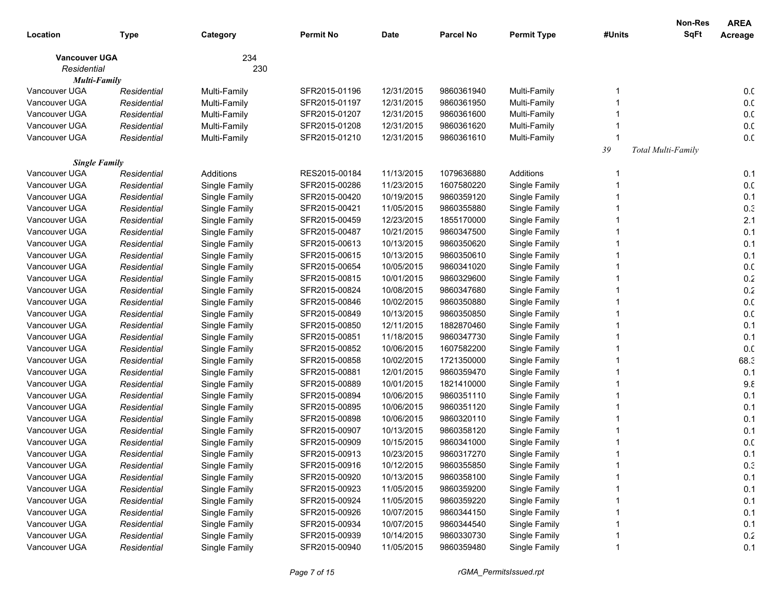|                      |             |               |                  |             |                  |                    |        | <b>Non-Res</b>     | <b>AREA</b>     |
|----------------------|-------------|---------------|------------------|-------------|------------------|--------------------|--------|--------------------|-----------------|
| Location             | <b>Type</b> | Category      | <b>Permit No</b> | <b>Date</b> | <b>Parcel No</b> | <b>Permit Type</b> | #Units | <b>SqFt</b>        | Acreage         |
| <b>Vancouver UGA</b> |             | 234           |                  |             |                  |                    |        |                    |                 |
| Residential          |             | 230           |                  |             |                  |                    |        |                    |                 |
| Multi-Family         |             |               |                  |             |                  |                    |        |                    |                 |
| Vancouver UGA        | Residential | Multi-Family  | SFR2015-01196    | 12/31/2015  | 9860361940       | Multi-Family       |        |                    | 0. <sub>C</sub> |
| Vancouver UGA        | Residential | Multi-Family  | SFR2015-01197    | 12/31/2015  | 9860361950       | Multi-Family       |        |                    | 0. <sub>C</sub> |
| Vancouver UGA        | Residential | Multi-Family  | SFR2015-01207    | 12/31/2015  | 9860361600       | Multi-Family       |        |                    | 0. <sub>C</sub> |
| Vancouver UGA        | Residential | Multi-Family  | SFR2015-01208    | 12/31/2015  | 9860361620       | Multi-Family       |        |                    | 0. <sub>C</sub> |
| Vancouver UGA        | Residential | Multi-Family  | SFR2015-01210    | 12/31/2015  | 9860361610       | Multi-Family       |        |                    | 0.0             |
|                      |             |               |                  |             |                  |                    | 39     | Total Multi-Family |                 |
| <b>Single Family</b> |             |               |                  |             |                  |                    |        |                    |                 |
| Vancouver UGA        | Residential | Additions     | RES2015-00184    | 11/13/2015  | 1079636880       | Additions          |        |                    | 0.1             |
| Vancouver UGA        | Residential | Single Family | SFR2015-00286    | 11/23/2015  | 1607580220       | Single Family      |        |                    | 0. <sub>C</sub> |
| Vancouver UGA        | Residential | Single Family | SFR2015-00420    | 10/19/2015  | 9860359120       | Single Family      |        |                    | 0.1             |
| Vancouver UGA        | Residential | Single Family | SFR2015-00421    | 11/05/2015  | 9860355880       | Single Family      |        |                    | 0.3             |
| Vancouver UGA        | Residential | Single Family | SFR2015-00459    | 12/23/2015  | 1855170000       | Single Family      |        |                    | 2.1             |
| Vancouver UGA        | Residential | Single Family | SFR2015-00487    | 10/21/2015  | 9860347500       | Single Family      |        |                    | 0.1             |
| Vancouver UGA        | Residential | Single Family | SFR2015-00613    | 10/13/2015  | 9860350620       | Single Family      |        |                    | 0.1             |
| Vancouver UGA        | Residential | Single Family | SFR2015-00615    | 10/13/2015  | 9860350610       | Single Family      |        |                    | 0.1             |
| Vancouver UGA        | Residential | Single Family | SFR2015-00654    | 10/05/2015  | 9860341020       | Single Family      |        |                    | 0. <sub>C</sub> |
| Vancouver UGA        | Residential | Single Family | SFR2015-00815    | 10/01/2015  | 9860329600       | Single Family      |        |                    | 0.2             |
| Vancouver UGA        | Residential | Single Family | SFR2015-00824    | 10/08/2015  | 9860347680       | Single Family      |        |                    | 0.2             |
| Vancouver UGA        | Residential | Single Family | SFR2015-00846    | 10/02/2015  | 9860350880       | Single Family      |        |                    | 0. <sub>C</sub> |
| Vancouver UGA        | Residential | Single Family | SFR2015-00849    | 10/13/2015  | 9860350850       | Single Family      |        |                    | 0. <sub>C</sub> |
| Vancouver UGA        | Residential | Single Family | SFR2015-00850    | 12/11/2015  | 1882870460       | Single Family      |        |                    | 0.1             |
| Vancouver UGA        | Residential | Single Family | SFR2015-00851    | 11/18/2015  | 9860347730       | Single Family      |        |                    | 0.1             |
| Vancouver UGA        | Residential | Single Family | SFR2015-00852    | 10/06/2015  | 1607582200       | Single Family      |        |                    | 0.0             |
| Vancouver UGA        | Residential | Single Family | SFR2015-00858    | 10/02/2015  | 1721350000       | Single Family      |        |                    | 68.3            |
| Vancouver UGA        | Residential | Single Family | SFR2015-00881    | 12/01/2015  | 9860359470       | Single Family      |        |                    | 0.1             |
| Vancouver UGA        | Residential | Single Family | SFR2015-00889    | 10/01/2015  | 1821410000       | Single Family      |        |                    | 9.8             |
| Vancouver UGA        | Residential | Single Family | SFR2015-00894    | 10/06/2015  | 9860351110       | Single Family      |        |                    | 0.1             |
| Vancouver UGA        | Residential | Single Family | SFR2015-00895    | 10/06/2015  | 9860351120       | Single Family      |        |                    | 0.1             |
| Vancouver UGA        | Residential | Single Family | SFR2015-00898    | 10/06/2015  | 9860320110       | Single Family      |        |                    | 0.1             |
| Vancouver UGA        | Residential | Single Family | SFR2015-00907    | 10/13/2015  | 9860358120       | Single Family      |        |                    | 0.1             |
| Vancouver UGA        | Residential | Single Family | SFR2015-00909    | 10/15/2015  | 9860341000       | Single Family      |        |                    | 0. <sub>C</sub> |
| Vancouver UGA        | Residential | Single Family | SFR2015-00913    | 10/23/2015  | 9860317270       | Single Family      |        |                    | 0.1             |
| Vancouver UGA        | Residential | Single Family | SFR2015-00916    | 10/12/2015  | 9860355850       | Single Family      |        |                    | 0.3             |
| Vancouver UGA        | Residential | Single Family | SFR2015-00920    | 10/13/2015  | 9860358100       | Single Family      |        |                    | 0.1             |
| Vancouver UGA        | Residential | Single Family | SFR2015-00923    | 11/05/2015  | 9860359200       | Single Family      |        |                    | 0.1             |
| Vancouver UGA        | Residential | Single Family | SFR2015-00924    | 11/05/2015  | 9860359220       | Single Family      |        |                    | 0.1             |
| Vancouver UGA        | Residential | Single Family | SFR2015-00926    | 10/07/2015  | 9860344150       | Single Family      |        |                    | 0.1             |
| Vancouver UGA        | Residential | Single Family | SFR2015-00934    | 10/07/2015  | 9860344540       | Single Family      |        |                    | 0.1             |
| Vancouver UGA        | Residential | Single Family | SFR2015-00939    | 10/14/2015  | 9860330730       | Single Family      |        |                    | 0.2             |
| Vancouver UGA        | Residential | Single Family | SFR2015-00940    | 11/05/2015  | 9860359480       | Single Family      |        |                    | 0.1             |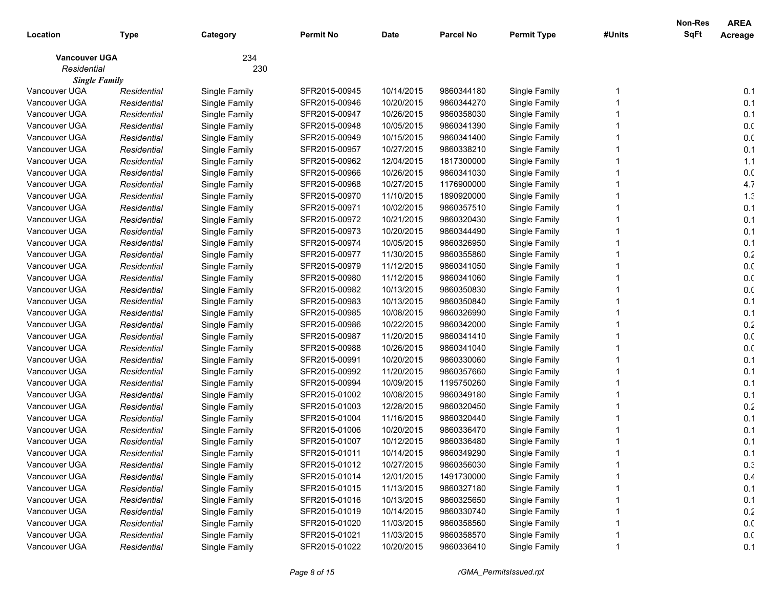| Location             | <b>Type</b> | Category      | <b>Permit No</b> | <b>Date</b> | <b>Parcel No</b> | <b>Permit Type</b> | #Units | Non-Res<br><b>SqFt</b> | <b>AREA</b><br>Acreage |
|----------------------|-------------|---------------|------------------|-------------|------------------|--------------------|--------|------------------------|------------------------|
| <b>Vancouver UGA</b> |             | 234           |                  |             |                  |                    |        |                        |                        |
| Residential          |             | 230           |                  |             |                  |                    |        |                        |                        |
| <b>Single Family</b> |             |               |                  |             |                  |                    |        |                        |                        |
| Vancouver UGA        | Residential | Single Family | SFR2015-00945    | 10/14/2015  | 9860344180       | Single Family      |        |                        | 0.1                    |
| Vancouver UGA        | Residential | Single Family | SFR2015-00946    | 10/20/2015  | 9860344270       | Single Family      |        |                        | 0.1                    |
| Vancouver UGA        | Residential | Single Family | SFR2015-00947    | 10/26/2015  | 9860358030       | Single Family      |        |                        | 0.1                    |
| Vancouver UGA        | Residential | Single Family | SFR2015-00948    | 10/05/2015  | 9860341390       | Single Family      |        |                        | 0.0                    |
| Vancouver UGA        | Residential | Single Family | SFR2015-00949    | 10/15/2015  | 9860341400       | Single Family      |        |                        | 0.0                    |
| Vancouver UGA        | Residential | Single Family | SFR2015-00957    | 10/27/2015  | 9860338210       | Single Family      |        |                        | 0.1                    |
| Vancouver UGA        | Residential | Single Family | SFR2015-00962    | 12/04/2015  | 1817300000       | Single Family      |        |                        | 1.1                    |
| Vancouver UGA        | Residential | Single Family | SFR2015-00966    | 10/26/2015  | 9860341030       | Single Family      |        |                        | 0. <sub>C</sub>        |
| Vancouver UGA        | Residential | Single Family | SFR2015-00968    | 10/27/2015  | 1176900000       | Single Family      |        |                        | 4.7                    |
| Vancouver UGA        | Residential | Single Family | SFR2015-00970    | 11/10/2015  | 1890920000       | Single Family      |        |                        | 1.3                    |
| Vancouver UGA        | Residential | Single Family | SFR2015-00971    | 10/02/2015  | 9860357510       | Single Family      |        |                        | 0.1                    |
| Vancouver UGA        | Residential | Single Family | SFR2015-00972    | 10/21/2015  | 9860320430       | Single Family      |        |                        | 0.1                    |
| Vancouver UGA        | Residential | Single Family | SFR2015-00973    | 10/20/2015  | 9860344490       | Single Family      |        |                        | 0.1                    |
| Vancouver UGA        | Residential | Single Family | SFR2015-00974    | 10/05/2015  | 9860326950       | Single Family      |        |                        | 0.1                    |
| Vancouver UGA        | Residential | Single Family | SFR2015-00977    | 11/30/2015  | 9860355860       | Single Family      |        |                        | 0.2                    |
| Vancouver UGA        | Residential | Single Family | SFR2015-00979    | 11/12/2015  | 9860341050       | Single Family      |        |                        | 0.0                    |
| Vancouver UGA        | Residential | Single Family | SFR2015-00980    | 11/12/2015  | 9860341060       | Single Family      |        |                        | 0. <sub>C</sub>        |
| Vancouver UGA        | Residential | Single Family | SFR2015-00982    | 10/13/2015  | 9860350830       | Single Family      |        |                        | 0. <sub>C</sub>        |
| Vancouver UGA        | Residential | Single Family | SFR2015-00983    | 10/13/2015  | 9860350840       | Single Family      |        |                        | 0.1                    |
| Vancouver UGA        | Residential | Single Family | SFR2015-00985    | 10/08/2015  | 9860326990       | Single Family      |        |                        | 0.1                    |
| Vancouver UGA        | Residential | Single Family | SFR2015-00986    | 10/22/2015  | 9860342000       | Single Family      |        |                        | 0.2                    |
| Vancouver UGA        | Residential | Single Family | SFR2015-00987    | 11/20/2015  | 9860341410       | Single Family      |        |                        | 0.0                    |
| Vancouver UGA        | Residential | Single Family | SFR2015-00988    | 10/26/2015  | 9860341040       | Single Family      |        |                        | 0.0                    |
| Vancouver UGA        | Residential | Single Family | SFR2015-00991    | 10/20/2015  | 9860330060       | Single Family      |        |                        | 0.1                    |
| Vancouver UGA        | Residential | Single Family | SFR2015-00992    | 11/20/2015  | 9860357660       | Single Family      |        |                        | 0.1                    |
| Vancouver UGA        | Residential | Single Family | SFR2015-00994    | 10/09/2015  | 1195750260       | Single Family      |        |                        | 0.1                    |
| Vancouver UGA        | Residential | Single Family | SFR2015-01002    | 10/08/2015  | 9860349180       | Single Family      |        |                        | 0.1                    |
| Vancouver UGA        | Residential | Single Family | SFR2015-01003    | 12/28/2015  | 9860320450       | Single Family      |        |                        | 0.2                    |
| Vancouver UGA        | Residential | Single Family | SFR2015-01004    | 11/16/2015  | 9860320440       | Single Family      |        |                        | 0.1                    |
| Vancouver UGA        | Residential | Single Family | SFR2015-01006    | 10/20/2015  | 9860336470       | Single Family      |        |                        | 0.1                    |
| Vancouver UGA        | Residential | Single Family | SFR2015-01007    | 10/12/2015  | 9860336480       | Single Family      |        |                        | 0.1                    |
| Vancouver UGA        | Residential | Single Family | SFR2015-01011    | 10/14/2015  | 9860349290       | Single Family      |        |                        | 0.1                    |
| Vancouver UGA        | Residential | Single Family | SFR2015-01012    | 10/27/2015  | 9860356030       | Single Family      |        |                        | 0.3                    |
| Vancouver UGA        | Residential | Single Family | SFR2015-01014    | 12/01/2015  | 1491730000       | Single Family      |        |                        | 0.4                    |
| Vancouver UGA        | Residential | Single Family | SFR2015-01015    | 11/13/2015  | 9860327180       | Single Family      |        |                        | 0.1                    |
| Vancouver UGA        | Residential | Single Family | SFR2015-01016    | 10/13/2015  | 9860325650       | Single Family      |        |                        | 0.1                    |
| Vancouver UGA        | Residential | Single Family | SFR2015-01019    | 10/14/2015  | 9860330740       | Single Family      |        |                        | 0.2                    |
| Vancouver UGA        | Residential | Single Family | SFR2015-01020    | 11/03/2015  | 9860358560       | Single Family      |        |                        | 0.0                    |
| Vancouver UGA        | Residential | Single Family | SFR2015-01021    | 11/03/2015  | 9860358570       | Single Family      |        |                        | 0.0                    |
| Vancouver UGA        | Residential | Single Family | SFR2015-01022    | 10/20/2015  | 9860336410       | Single Family      |        |                        | 0.1                    |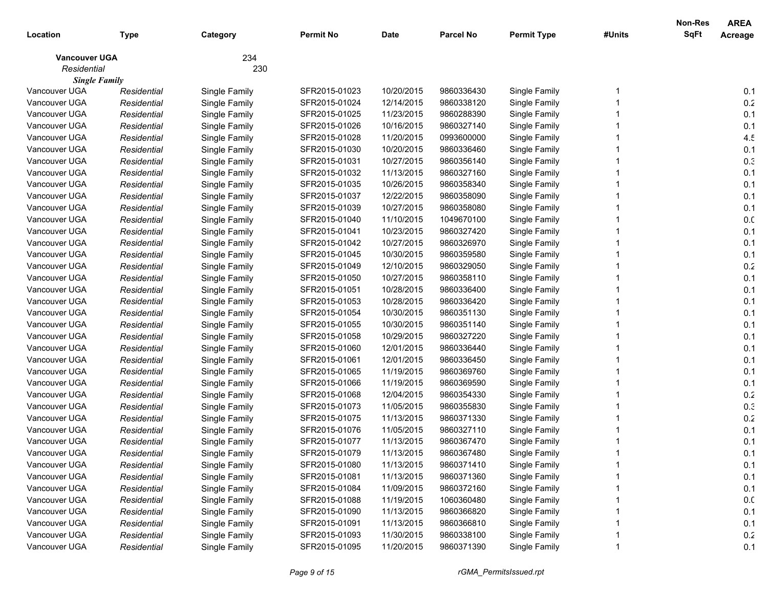| Location                            | <b>Type</b> | Category      | <b>Permit No</b> | <b>Date</b> | <b>Parcel No</b> | <b>Permit Type</b> | #Units | Non-Res<br><b>SqFt</b> | <b>AREA</b><br>Acreage |
|-------------------------------------|-------------|---------------|------------------|-------------|------------------|--------------------|--------|------------------------|------------------------|
|                                     |             |               |                  |             |                  |                    |        |                        |                        |
| <b>Vancouver UGA</b>                |             | 234           |                  |             |                  |                    |        |                        |                        |
| Residential<br><b>Single Family</b> |             | 230           |                  |             |                  |                    |        |                        |                        |
| Vancouver UGA                       | Residential | Single Family | SFR2015-01023    | 10/20/2015  | 9860336430       | Single Family      |        |                        | 0.1                    |
| Vancouver UGA                       | Residential | Single Family | SFR2015-01024    | 12/14/2015  | 9860338120       | Single Family      |        |                        | 0.2                    |
| Vancouver UGA                       | Residential | Single Family | SFR2015-01025    | 11/23/2015  | 9860288390       | Single Family      |        |                        | 0.1                    |
| Vancouver UGA                       | Residential | Single Family | SFR2015-01026    | 10/16/2015  | 9860327140       | Single Family      |        |                        | 0.1                    |
| Vancouver UGA                       | Residential | Single Family | SFR2015-01028    | 11/20/2015  | 0993600000       | Single Family      |        |                        | 4.5                    |
| Vancouver UGA                       | Residential | Single Family | SFR2015-01030    | 10/20/2015  | 9860336460       | Single Family      |        |                        | 0.1                    |
| Vancouver UGA                       | Residential | Single Family | SFR2015-01031    | 10/27/2015  | 9860356140       | Single Family      |        |                        | 0.3                    |
| Vancouver UGA                       | Residential | Single Family | SFR2015-01032    | 11/13/2015  | 9860327160       | Single Family      |        |                        | 0.1                    |
| Vancouver UGA                       | Residential | Single Family | SFR2015-01035    | 10/26/2015  | 9860358340       | Single Family      |        |                        | 0.1                    |
| Vancouver UGA                       | Residential | Single Family | SFR2015-01037    | 12/22/2015  | 9860358090       | Single Family      |        |                        | 0.1                    |
| Vancouver UGA                       | Residential | Single Family | SFR2015-01039    | 10/27/2015  | 9860358080       | Single Family      |        |                        | 0.1                    |
| Vancouver UGA                       | Residential | Single Family | SFR2015-01040    | 11/10/2015  | 1049670100       | Single Family      |        |                        | 0.0                    |
| Vancouver UGA                       | Residential | Single Family | SFR2015-01041    | 10/23/2015  | 9860327420       | Single Family      |        |                        | 0.1                    |
| Vancouver UGA                       | Residential | Single Family | SFR2015-01042    | 10/27/2015  | 9860326970       | Single Family      |        |                        | 0.1                    |
| Vancouver UGA                       | Residential | Single Family | SFR2015-01045    | 10/30/2015  | 9860359580       | Single Family      |        |                        | 0.1                    |
| Vancouver UGA                       | Residential | Single Family | SFR2015-01049    | 12/10/2015  | 9860329050       | Single Family      |        |                        | 0.2                    |
| Vancouver UGA                       | Residential | Single Family | SFR2015-01050    | 10/27/2015  | 9860358110       | Single Family      |        |                        | 0.1                    |
| Vancouver UGA                       | Residential | Single Family | SFR2015-01051    | 10/28/2015  | 9860336400       | Single Family      |        |                        | 0.1                    |
| Vancouver UGA                       | Residential | Single Family | SFR2015-01053    | 10/28/2015  | 9860336420       | Single Family      |        |                        | 0.1                    |
| Vancouver UGA                       | Residential | Single Family | SFR2015-01054    | 10/30/2015  | 9860351130       | Single Family      |        |                        | 0.1                    |
| Vancouver UGA                       | Residential | Single Family | SFR2015-01055    | 10/30/2015  | 9860351140       | Single Family      |        |                        | 0.1                    |
| Vancouver UGA                       | Residential | Single Family | SFR2015-01058    | 10/29/2015  | 9860327220       | Single Family      |        |                        | 0.1                    |
| Vancouver UGA                       | Residential | Single Family | SFR2015-01060    | 12/01/2015  | 9860336440       | Single Family      |        |                        | 0.1                    |
| Vancouver UGA                       | Residential | Single Family | SFR2015-01061    | 12/01/2015  | 9860336450       | Single Family      |        |                        | 0.1                    |
| Vancouver UGA                       | Residential | Single Family | SFR2015-01065    | 11/19/2015  | 9860369760       | Single Family      |        |                        | 0.1                    |
| Vancouver UGA                       | Residential | Single Family | SFR2015-01066    | 11/19/2015  | 9860369590       | Single Family      |        |                        | 0.1                    |
| Vancouver UGA                       | Residential | Single Family | SFR2015-01068    | 12/04/2015  | 9860354330       | Single Family      |        |                        | 0.2                    |
| Vancouver UGA                       | Residential | Single Family | SFR2015-01073    | 11/05/2015  | 9860355830       | Single Family      |        |                        | 0.3                    |
| Vancouver UGA                       | Residential | Single Family | SFR2015-01075    | 11/13/2015  | 9860371330       | Single Family      |        |                        | 0.2                    |
| Vancouver UGA                       | Residential | Single Family | SFR2015-01076    | 11/05/2015  | 9860327110       | Single Family      |        |                        | 0.1                    |
| Vancouver UGA                       | Residential | Single Family | SFR2015-01077    | 11/13/2015  | 9860367470       | Single Family      |        |                        | 0.1                    |
| Vancouver UGA                       | Residential | Single Family | SFR2015-01079    | 11/13/2015  | 9860367480       | Single Family      |        |                        | 0.1                    |
| Vancouver UGA                       | Residential | Single Family | SFR2015-01080    | 11/13/2015  | 9860371410       | Single Family      |        |                        | 0.1                    |
| Vancouver UGA                       | Residential | Single Family | SFR2015-01081    | 11/13/2015  | 9860371360       | Single Family      |        |                        | 0.1                    |
| Vancouver UGA                       | Residential | Single Family | SFR2015-01084    | 11/09/2015  | 9860372160       | Single Family      |        |                        | 0.1                    |
| Vancouver UGA                       | Residential | Single Family | SFR2015-01088    | 11/19/2015  | 1060360480       | Single Family      |        |                        | 0.0                    |
| Vancouver UGA                       | Residential | Single Family | SFR2015-01090    | 11/13/2015  | 9860366820       | Single Family      |        |                        | 0.1                    |
| Vancouver UGA                       | Residential | Single Family | SFR2015-01091    | 11/13/2015  | 9860366810       | Single Family      |        |                        | 0.1                    |
| Vancouver UGA                       | Residential | Single Family | SFR2015-01093    | 11/30/2015  | 9860338100       | Single Family      |        |                        | 0.2                    |
| Vancouver UGA                       | Residential | Single Family | SFR2015-01095    | 11/20/2015  | 9860371390       | Single Family      | 1      |                        | 0.1                    |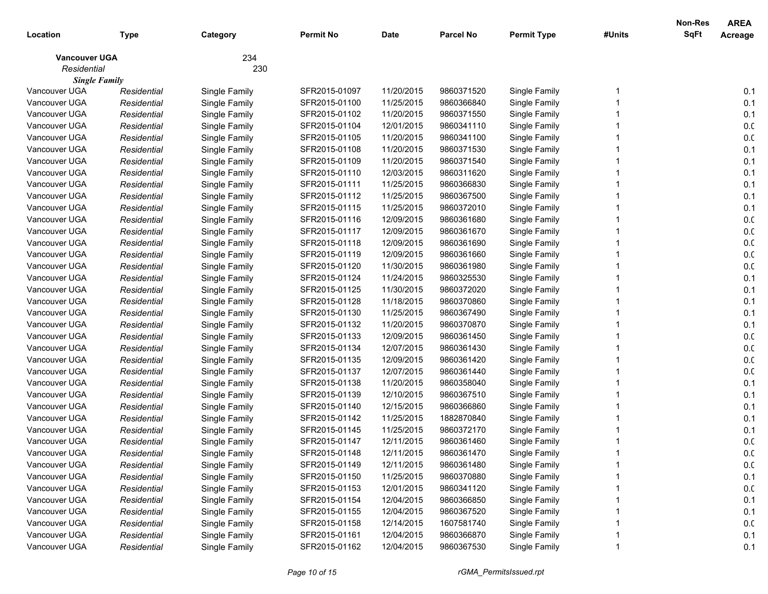| Location                            | <b>Type</b> | Category      | <b>Permit No</b> | <b>Date</b> | <b>Parcel No</b> | <b>Permit Type</b> | #Units | Non-Res<br><b>SqFt</b> | <b>AREA</b><br>Acreage |
|-------------------------------------|-------------|---------------|------------------|-------------|------------------|--------------------|--------|------------------------|------------------------|
|                                     |             | 234           |                  |             |                  |                    |        |                        |                        |
| <b>Vancouver UGA</b><br>Residential |             | 230           |                  |             |                  |                    |        |                        |                        |
| <b>Single Family</b>                |             |               |                  |             |                  |                    |        |                        |                        |
| Vancouver UGA                       | Residential | Single Family | SFR2015-01097    | 11/20/2015  | 9860371520       | Single Family      |        |                        | 0.1                    |
| Vancouver UGA                       | Residential | Single Family | SFR2015-01100    | 11/25/2015  | 9860366840       | Single Family      |        |                        | 0.1                    |
| Vancouver UGA                       | Residential | Single Family | SFR2015-01102    | 11/20/2015  | 9860371550       | Single Family      |        |                        | 0.1                    |
| Vancouver UGA                       | Residential | Single Family | SFR2015-01104    | 12/01/2015  | 9860341110       | Single Family      |        |                        | 0.0                    |
| Vancouver UGA                       | Residential | Single Family | SFR2015-01105    | 11/20/2015  | 9860341100       | Single Family      |        |                        | 0.0                    |
| Vancouver UGA                       | Residential | Single Family | SFR2015-01108    | 11/20/2015  | 9860371530       | Single Family      |        |                        | 0.1                    |
| Vancouver UGA                       | Residential | Single Family | SFR2015-01109    | 11/20/2015  | 9860371540       | Single Family      |        |                        | 0.1                    |
| Vancouver UGA                       | Residential | Single Family | SFR2015-01110    | 12/03/2015  | 9860311620       | Single Family      |        |                        | 0.1                    |
| Vancouver UGA                       | Residential | Single Family | SFR2015-01111    | 11/25/2015  | 9860366830       | Single Family      |        |                        | 0.1                    |
| Vancouver UGA                       | Residential | Single Family | SFR2015-01112    | 11/25/2015  | 9860367500       | Single Family      |        |                        | 0.1                    |
| Vancouver UGA                       | Residential | Single Family | SFR2015-01115    | 11/25/2015  | 9860372010       | Single Family      |        |                        | 0.1                    |
| Vancouver UGA                       | Residential | Single Family | SFR2015-01116    | 12/09/2015  | 9860361680       | Single Family      |        |                        | 0.0                    |
| Vancouver UGA                       | Residential | Single Family | SFR2015-01117    | 12/09/2015  | 9860361670       | Single Family      |        |                        | 0.0                    |
| Vancouver UGA                       | Residential | Single Family | SFR2015-01118    | 12/09/2015  | 9860361690       | Single Family      |        |                        | 0.0                    |
| Vancouver UGA                       | Residential | Single Family | SFR2015-01119    | 12/09/2015  | 9860361660       | Single Family      |        |                        | 0.0                    |
| Vancouver UGA                       | Residential | Single Family | SFR2015-01120    | 11/30/2015  | 9860361980       | Single Family      |        |                        | 0. <sub>C</sub>        |
| Vancouver UGA                       | Residential | Single Family | SFR2015-01124    | 11/24/2015  | 9860325530       | Single Family      |        |                        | 0.1                    |
| Vancouver UGA                       | Residential | Single Family | SFR2015-01125    | 11/30/2015  | 9860372020       | Single Family      |        |                        | 0.1                    |
| Vancouver UGA                       | Residential | Single Family | SFR2015-01128    | 11/18/2015  | 9860370860       | Single Family      |        |                        | 0.1                    |
| Vancouver UGA                       | Residential | Single Family | SFR2015-01130    | 11/25/2015  | 9860367490       | Single Family      |        |                        | 0.1                    |
| Vancouver UGA                       | Residential | Single Family | SFR2015-01132    | 11/20/2015  | 9860370870       | Single Family      |        |                        | 0.1                    |
| Vancouver UGA                       | Residential | Single Family | SFR2015-01133    | 12/09/2015  | 9860361450       | Single Family      |        |                        | 0.0                    |
| Vancouver UGA                       | Residential | Single Family | SFR2015-01134    | 12/07/2015  | 9860361430       | Single Family      |        |                        | 0.0                    |
| Vancouver UGA                       | Residential | Single Family | SFR2015-01135    | 12/09/2015  | 9860361420       | Single Family      |        |                        | 0.0                    |
| Vancouver UGA                       | Residential | Single Family | SFR2015-01137    | 12/07/2015  | 9860361440       | Single Family      |        |                        | 0. <sub>C</sub>        |
| Vancouver UGA                       | Residential | Single Family | SFR2015-01138    | 11/20/2015  | 9860358040       | Single Family      |        |                        | 0.1                    |
| Vancouver UGA                       | Residential | Single Family | SFR2015-01139    | 12/10/2015  | 9860367510       | Single Family      |        |                        | 0.1                    |
| Vancouver UGA                       | Residential | Single Family | SFR2015-01140    | 12/15/2015  | 9860366860       | Single Family      |        |                        | 0.1                    |
| Vancouver UGA                       | Residential | Single Family | SFR2015-01142    | 11/25/2015  | 1882870840       | Single Family      |        |                        | 0.1                    |
| Vancouver UGA                       | Residential | Single Family | SFR2015-01145    | 11/25/2015  | 9860372170       | Single Family      |        |                        | 0.1                    |
| Vancouver UGA                       | Residential | Single Family | SFR2015-01147    | 12/11/2015  | 9860361460       | Single Family      |        |                        | 0.0                    |
| Vancouver UGA                       | Residential | Single Family | SFR2015-01148    | 12/11/2015  | 9860361470       | Single Family      |        |                        | 0.0                    |
| Vancouver UGA                       | Residential | Single Family | SFR2015-01149    | 12/11/2015  | 9860361480       | Single Family      |        |                        | 0.0                    |
| Vancouver UGA                       | Residential | Single Family | SFR2015-01150    | 11/25/2015  | 9860370880       | Single Family      |        |                        | 0.1                    |
| Vancouver UGA                       | Residential | Single Family | SFR2015-01153    | 12/01/2015  | 9860341120       | Single Family      |        |                        | 0.0                    |
| Vancouver UGA                       | Residential | Single Family | SFR2015-01154    | 12/04/2015  | 9860366850       | Single Family      |        |                        | 0.1                    |
| Vancouver UGA                       | Residential | Single Family | SFR2015-01155    | 12/04/2015  | 9860367520       | Single Family      |        |                        | 0.1                    |
| Vancouver UGA                       | Residential | Single Family | SFR2015-01158    | 12/14/2015  | 1607581740       | Single Family      |        |                        | 0.0                    |
| Vancouver UGA                       | Residential | Single Family | SFR2015-01161    | 12/04/2015  | 9860366870       | Single Family      |        |                        | 0.1                    |
| Vancouver UGA                       | Residential | Single Family | SFR2015-01162    | 12/04/2015  | 9860367530       | Single Family      |        |                        | 0.1                    |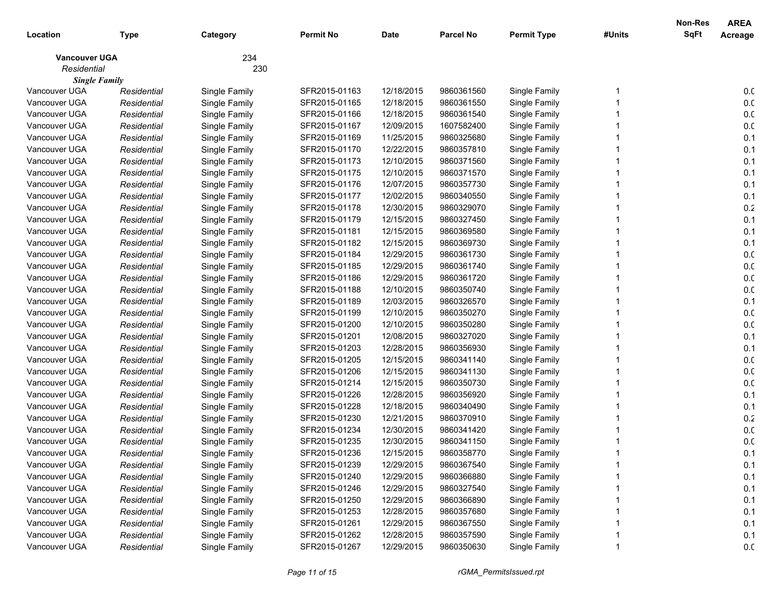| Location             | <b>Type</b> | Category      | <b>Permit No</b> | <b>Date</b> | <b>Parcel No</b> | <b>Permit Type</b> | #Units | Non-Res<br><b>SqFt</b> | <b>AREA</b><br>Acreage |
|----------------------|-------------|---------------|------------------|-------------|------------------|--------------------|--------|------------------------|------------------------|
| <b>Vancouver UGA</b> |             | 234           |                  |             |                  |                    |        |                        |                        |
| Residential          |             | 230           |                  |             |                  |                    |        |                        |                        |
| <b>Single Family</b> |             |               |                  |             |                  |                    |        |                        |                        |
| Vancouver UGA        | Residential | Single Family | SFR2015-01163    | 12/18/2015  | 9860361560       | Single Family      |        |                        | 0. <sub>C</sub>        |
| Vancouver UGA        | Residential | Single Family | SFR2015-01165    | 12/18/2015  | 9860361550       | Single Family      |        |                        | 0. <sub>C</sub>        |
| Vancouver UGA        | Residential | Single Family | SFR2015-01166    | 12/18/2015  | 9860361540       | Single Family      |        |                        | 0. <sub>C</sub>        |
| Vancouver UGA        | Residential | Single Family | SFR2015-01167    | 12/09/2015  | 1607582400       | Single Family      |        |                        | 0. <sub>C</sub>        |
| Vancouver UGA        | Residential | Single Family | SFR2015-01169    | 11/25/2015  | 9860325680       | Single Family      |        |                        | 0.1                    |
| Vancouver UGA        | Residential | Single Family | SFR2015-01170    | 12/22/2015  | 9860357810       | Single Family      |        |                        | 0.1                    |
| Vancouver UGA        | Residential | Single Family | SFR2015-01173    | 12/10/2015  | 9860371560       | Single Family      |        |                        | 0.1                    |
| Vancouver UGA        | Residential | Single Family | SFR2015-01175    | 12/10/2015  | 9860371570       | Single Family      |        |                        | 0.1                    |
| Vancouver UGA        | Residential | Single Family | SFR2015-01176    | 12/07/2015  | 9860357730       | Single Family      |        |                        | 0.1                    |
| Vancouver UGA        | Residential | Single Family | SFR2015-01177    | 12/02/2015  | 9860340550       | Single Family      |        |                        | 0.1                    |
| Vancouver UGA        | Residential | Single Family | SFR2015-01178    | 12/30/2015  | 9860329070       | Single Family      |        |                        | $0.2\,$                |
| Vancouver UGA        | Residential | Single Family | SFR2015-01179    | 12/15/2015  | 9860327450       | Single Family      |        |                        | 0.1                    |
| Vancouver UGA        | Residential | Single Family | SFR2015-01181    | 12/15/2015  | 9860369580       | Single Family      |        |                        | 0.1                    |
| Vancouver UGA        | Residential | Single Family | SFR2015-01182    | 12/15/2015  | 9860369730       | Single Family      |        |                        | 0.1                    |
| Vancouver UGA        | Residential | Single Family | SFR2015-01184    | 12/29/2015  | 9860361730       | Single Family      |        |                        | 0.0                    |
| Vancouver UGA        | Residential | Single Family | SFR2015-01185    | 12/29/2015  | 9860361740       | Single Family      |        |                        | 0. <sub>C</sub>        |
| Vancouver UGA        | Residential | Single Family | SFR2015-01186    | 12/29/2015  | 9860361720       | Single Family      |        |                        | 0. <sub>C</sub>        |
| Vancouver UGA        | Residential | Single Family | SFR2015-01188    | 12/10/2015  | 9860350740       | Single Family      |        |                        | 0. <sub>C</sub>        |
| Vancouver UGA        | Residential | Single Family | SFR2015-01189    | 12/03/2015  | 9860326570       | Single Family      |        |                        | 0.1                    |
| Vancouver UGA        | Residential | Single Family | SFR2015-01199    | 12/10/2015  | 9860350270       | Single Family      |        |                        | 0.0                    |
| Vancouver UGA        | Residential | Single Family | SFR2015-01200    | 12/10/2015  | 9860350280       | Single Family      |        |                        | 0.0                    |
| Vancouver UGA        | Residential | Single Family | SFR2015-01201    | 12/08/2015  | 9860327020       | Single Family      |        |                        | 0.1                    |
| Vancouver UGA        | Residential | Single Family | SFR2015-01203    | 12/28/2015  | 9860356930       | Single Family      |        |                        | 0.1                    |
| Vancouver UGA        | Residential | Single Family | SFR2015-01205    | 12/15/2015  | 9860341140       | Single Family      |        |                        | 0.0                    |
| Vancouver UGA        | Residential | Single Family | SFR2015-01206    | 12/15/2015  | 9860341130       | Single Family      |        |                        | 0. <sub>C</sub>        |
| Vancouver UGA        | Residential | Single Family | SFR2015-01214    | 12/15/2015  | 9860350730       | Single Family      |        |                        | 0.0                    |
| Vancouver UGA        | Residential | Single Family | SFR2015-01226    | 12/28/2015  | 9860356920       | Single Family      |        |                        | 0.1                    |
| Vancouver UGA        | Residential | Single Family | SFR2015-01228    | 12/18/2015  | 9860340490       | Single Family      |        |                        | 0.1                    |
| Vancouver UGA        | Residential | Single Family | SFR2015-01230    | 12/21/2015  | 9860370910       | Single Family      |        |                        | 0.2                    |
| Vancouver UGA        | Residential | Single Family | SFR2015-01234    | 12/30/2015  | 9860341420       | Single Family      |        |                        | 0. <sub>C</sub>        |
| Vancouver UGA        | Residential | Single Family | SFR2015-01235    | 12/30/2015  | 9860341150       | Single Family      |        |                        | 0. <sub>C</sub>        |
| Vancouver UGA        | Residential | Single Family | SFR2015-01236    | 12/15/2015  | 9860358770       | Single Family      |        |                        | 0.1                    |
| Vancouver UGA        | Residential | Single Family | SFR2015-01239    | 12/29/2015  | 9860367540       | Single Family      |        |                        | 0.1                    |
| Vancouver UGA        | Residential | Single Family | SFR2015-01240    | 12/29/2015  | 9860366880       | Single Family      |        |                        | 0.1                    |
| Vancouver UGA        | Residential | Single Family | SFR2015-01246    | 12/29/2015  | 9860327540       | Single Family      |        |                        | 0.1                    |
| Vancouver UGA        | Residential | Single Family | SFR2015-01250    | 12/29/2015  | 9860366890       | Single Family      |        |                        | 0.1                    |
| Vancouver UGA        | Residential | Single Family | SFR2015-01253    | 12/28/2015  | 9860357680       | Single Family      |        |                        | 0.1                    |
| Vancouver UGA        | Residential | Single Family | SFR2015-01261    | 12/29/2015  | 9860367550       | Single Family      |        |                        | 0.1                    |
| Vancouver UGA        | Residential | Single Family | SFR2015-01262    | 12/28/2015  | 9860357590       | Single Family      |        |                        | 0.1                    |
| Vancouver UGA        | Residential | Single Family | SFR2015-01267    | 12/29/2015  | 9860350630       | Single Family      |        |                        | 0.0                    |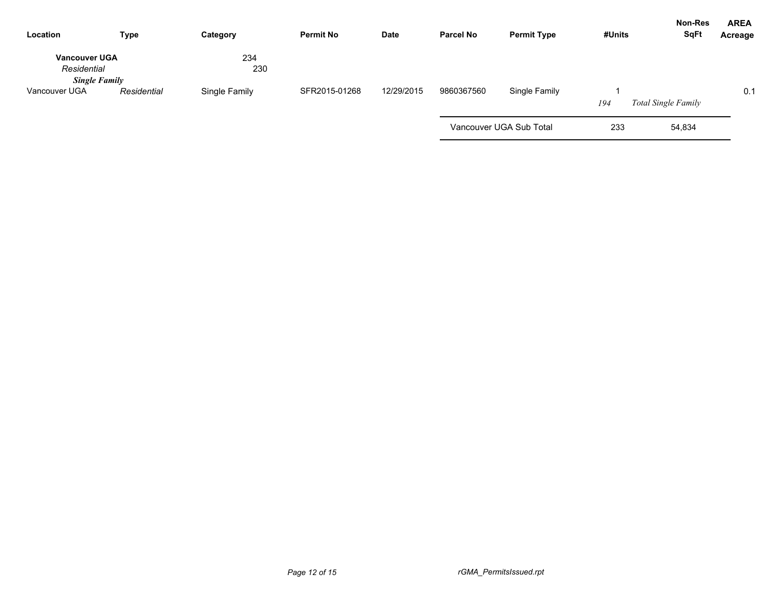| Location                                                    | <b>Type</b> | Category      | <b>Permit No</b> | Date       | <b>Parcel No</b> | <b>Permit Type</b>      | #Units | Non-Res<br><b>SqFt</b>     | <b>AREA</b><br>Acreage |
|-------------------------------------------------------------|-------------|---------------|------------------|------------|------------------|-------------------------|--------|----------------------------|------------------------|
| <b>Vancouver UGA</b><br>Residential<br><b>Single Family</b> |             | 234<br>230    |                  |            |                  |                         |        |                            |                        |
| Vancouver UGA                                               | Residential | Single Family | SFR2015-01268    | 12/29/2015 | 9860367560       | Single Family           | 194    | <b>Total Single Family</b> | 0.1                    |
|                                                             |             |               |                  |            |                  | Vancouver UGA Sub Total | 233    | 54,834                     |                        |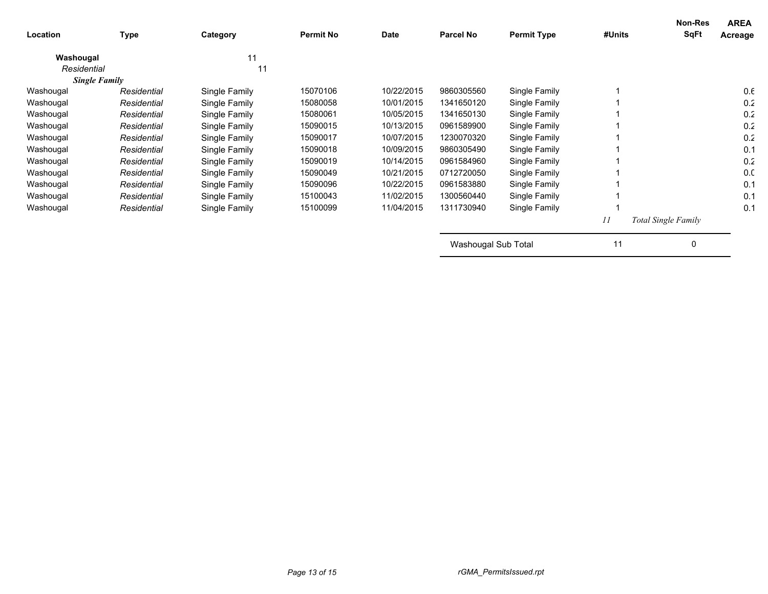| Location    | <b>Type</b>          | Category      | <b>Permit No</b> | <b>Date</b> | <b>Parcel No</b>    | <b>Permit Type</b> | #Units | Non-Res<br><b>SqFt</b> | <b>AREA</b><br>Acreage |
|-------------|----------------------|---------------|------------------|-------------|---------------------|--------------------|--------|------------------------|------------------------|
| Washougal   |                      | 11            |                  |             |                     |                    |        |                        |                        |
| Residential |                      | 11            |                  |             |                     |                    |        |                        |                        |
|             | <b>Single Family</b> |               |                  |             |                     |                    |        |                        |                        |
| Washougal   | Residential          | Single Family | 15070106         | 10/22/2015  | 9860305560          | Single Family      |        |                        | 0.6                    |
| Washougal   | Residential          | Single Family | 15080058         | 10/01/2015  | 1341650120          | Single Family      |        |                        | 0.2                    |
| Washougal   | Residential          | Single Family | 15080061         | 10/05/2015  | 1341650130          | Single Family      |        |                        | 0.2                    |
| Washougal   | Residential          | Single Family | 15090015         | 10/13/2015  | 0961589900          | Single Family      |        |                        | 0.2                    |
| Washougal   | Residential          | Single Family | 15090017         | 10/07/2015  | 1230070320          | Single Family      |        |                        | 0.2                    |
| Washougal   | Residential          | Single Family | 15090018         | 10/09/2015  | 9860305490          | Single Family      |        |                        | 0.1                    |
| Washougal   | Residential          | Single Family | 15090019         | 10/14/2015  | 0961584960          | Single Family      |        |                        | 0.2                    |
| Washougal   | Residential          | Single Family | 15090049         | 10/21/2015  | 0712720050          | Single Family      |        |                        | 0.0                    |
| Washougal   | Residential          | Single Family | 15090096         | 10/22/2015  | 0961583880          | Single Family      |        |                        | 0.1                    |
| Washougal   | Residential          | Single Family | 15100043         | 11/02/2015  | 1300560440          | Single Family      |        |                        | 0.1                    |
| Washougal   | Residential          | Single Family | 15100099         | 11/04/2015  | 1311730940          | Single Family      |        |                        | 0.1                    |
|             |                      |               |                  |             |                     |                    | 11     | Total Single Family    |                        |
|             |                      |               |                  |             | Washougal Sub Total |                    | 11     | 0                      |                        |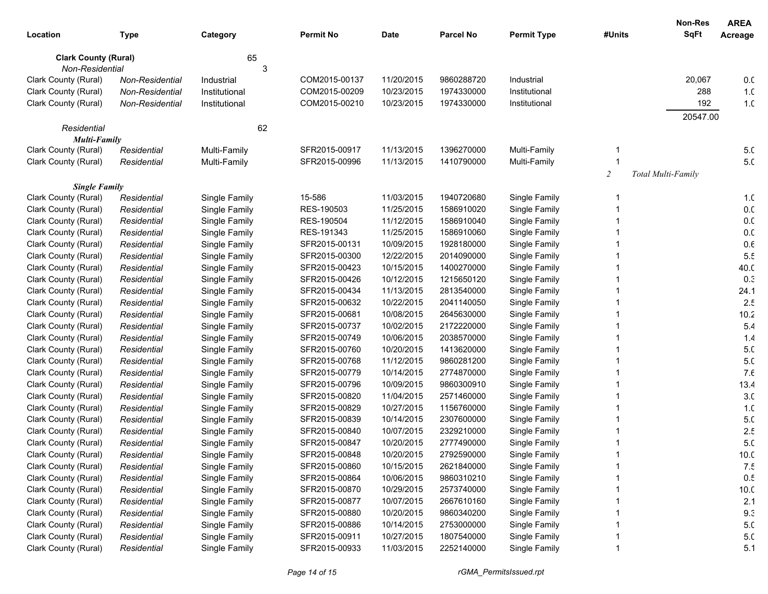|                                                |                 |               |                  |             |                  |                    |                | <b>Non-Res</b><br><b>SqFt</b> | <b>AREA</b>     |
|------------------------------------------------|-----------------|---------------|------------------|-------------|------------------|--------------------|----------------|-------------------------------|-----------------|
| Location                                       | <b>Type</b>     | Category      | <b>Permit No</b> | <b>Date</b> | <b>Parcel No</b> | <b>Permit Type</b> | #Units         |                               | Acreage         |
| <b>Clark County (Rural)</b><br>Non-Residential |                 | 65<br>3       |                  |             |                  |                    |                |                               |                 |
| Clark County (Rural)                           | Non-Residential | Industrial    | COM2015-00137    | 11/20/2015  | 9860288720       | Industrial         |                | 20,067                        | 0.0             |
| Clark County (Rural)                           | Non-Residential | Institutional | COM2015-00209    | 10/23/2015  | 1974330000       | Institutional      |                | 288                           | 1. <sub>C</sub> |
| Clark County (Rural)                           | Non-Residential | Institutional | COM2015-00210    | 10/23/2015  | 1974330000       | Institutional      |                | 192                           | 1. <sub>C</sub> |
|                                                |                 |               |                  |             |                  |                    |                | 20547.00                      |                 |
| Residential                                    |                 | 62            |                  |             |                  |                    |                |                               |                 |
| <b>Multi-Family</b>                            |                 |               |                  |             |                  |                    |                |                               |                 |
| Clark County (Rural)                           | Residential     | Multi-Family  | SFR2015-00917    | 11/13/2015  | 1396270000       | Multi-Family       |                |                               | 5. <sub>C</sub> |
| Clark County (Rural)                           | Residential     | Multi-Family  | SFR2015-00996    | 11/13/2015  | 1410790000       | Multi-Family       |                |                               | 5. <sub>C</sub> |
|                                                |                 |               |                  |             |                  |                    | $\overline{2}$ | Total Multi-Family            |                 |
| <b>Single Family</b>                           |                 |               |                  |             |                  |                    |                |                               |                 |
| Clark County (Rural)                           | Residential     | Single Family | 15-586           | 11/03/2015  | 1940720680       | Single Family      |                |                               | 1. <sub>C</sub> |
| Clark County (Rural)                           | Residential     | Single Family | RES-190503       | 11/25/2015  | 1586910020       | Single Family      |                |                               | 0. <sub>C</sub> |
| Clark County (Rural)                           | Residential     | Single Family | RES-190504       | 11/12/2015  | 1586910040       | Single Family      |                |                               | 0. <sub>C</sub> |
| Clark County (Rural)                           | Residential     | Single Family | RES-191343       | 11/25/2015  | 1586910060       | Single Family      |                |                               | 0.0             |
| Clark County (Rural)                           | Residential     | Single Family | SFR2015-00131    | 10/09/2015  | 1928180000       | Single Family      |                |                               | $0.6\,$         |
| Clark County (Rural)                           | Residential     | Single Family | SFR2015-00300    | 12/22/2015  | 2014090000       | Single Family      |                |                               | 5.5             |
| Clark County (Rural)                           | Residential     | Single Family | SFR2015-00423    | 10/15/2015  | 1400270000       | Single Family      |                |                               | 40.C            |
| Clark County (Rural)                           | Residential     | Single Family | SFR2015-00426    | 10/12/2015  | 1215650120       | Single Family      |                |                               | 0.3             |
| Clark County (Rural)                           | Residential     | Single Family | SFR2015-00434    | 11/13/2015  | 2813540000       | Single Family      |                |                               | 24.1            |
| Clark County (Rural)                           | Residential     | Single Family | SFR2015-00632    | 10/22/2015  | 2041140050       | Single Family      |                |                               | 2.5             |
| Clark County (Rural)                           | Residential     | Single Family | SFR2015-00681    | 10/08/2015  | 2645630000       | Single Family      |                |                               | 10.2            |
| Clark County (Rural)                           | Residential     | Single Family | SFR2015-00737    | 10/02/2015  | 2172220000       | Single Family      |                |                               | 5.4             |
| Clark County (Rural)                           | Residential     | Single Family | SFR2015-00749    | 10/06/2015  | 2038570000       | Single Family      |                |                               | 1.4             |
| Clark County (Rural)                           | Residential     | Single Family | SFR2015-00760    | 10/20/2015  | 1413620000       | Single Family      |                |                               | 5. <sub>C</sub> |
| Clark County (Rural)                           | Residential     | Single Family | SFR2015-00768    | 11/12/2015  | 9860281200       | Single Family      |                |                               | 5. <sub>C</sub> |
| Clark County (Rural)                           | Residential     | Single Family | SFR2015-00779    | 10/14/2015  | 2774870000       | Single Family      |                |                               | 7.6             |
| Clark County (Rural)                           | Residential     | Single Family | SFR2015-00796    | 10/09/2015  | 9860300910       | Single Family      |                |                               | 13.4            |
| Clark County (Rural)                           | Residential     | Single Family | SFR2015-00820    | 11/04/2015  | 2571460000       | Single Family      |                |                               | 3 <sub>c</sub>  |
| Clark County (Rural)                           | Residential     | Single Family | SFR2015-00829    | 10/27/2015  | 1156760000       | Single Family      |                |                               | 1.C             |
| Clark County (Rural)                           | Residential     | Single Family | SFR2015-00839    | 10/14/2015  | 2307600000       | Single Family      |                |                               | 5. <sub>C</sub> |
| Clark County (Rural)                           | Residential     | Single Family | SFR2015-00840    | 10/07/2015  | 2329210000       | Single Family      |                |                               | 2.5             |
| Clark County (Rural)                           | Residential     | Single Family | SFR2015-00847    | 10/20/2015  | 2777490000       | Single Family      |                |                               | 5. <sub>C</sub> |
| Clark County (Rural)                           | Residential     | Single Family | SFR2015-00848    | 10/20/2015  | 2792590000       | Single Family      |                |                               | 10 <sub>c</sub> |
| Clark County (Rural)                           | Residential     | Single Family | SFR2015-00860    | 10/15/2015  | 2621840000       | Single Family      |                |                               | 7.5             |
| Clark County (Rural)                           | Residential     | Single Family | SFR2015-00864    | 10/06/2015  | 9860310210       | Single Family      |                |                               | 0.5             |
| Clark County (Rural)                           | Residential     | Single Family | SFR2015-00870    | 10/29/2015  | 2573740000       | Single Family      |                |                               | 10.0            |
| Clark County (Rural)                           | Residential     | Single Family | SFR2015-00877    | 10/07/2015  | 2667610160       | Single Family      |                |                               | 2.1             |
| Clark County (Rural)                           | Residential     | Single Family | SFR2015-00880    | 10/20/2015  | 9860340200       | Single Family      |                |                               | 9.3             |
| Clark County (Rural)                           | Residential     | Single Family | SFR2015-00886    | 10/14/2015  | 2753000000       | Single Family      |                |                               | 5. <sub>C</sub> |
| Clark County (Rural)                           | Residential     | Single Family | SFR2015-00911    | 10/27/2015  | 1807540000       | Single Family      |                |                               | 5. <sub>C</sub> |
| Clark County (Rural)                           | Residential     | Single Family | SFR2015-00933    | 11/03/2015  | 2252140000       | Single Family      |                |                               | 5.1             |